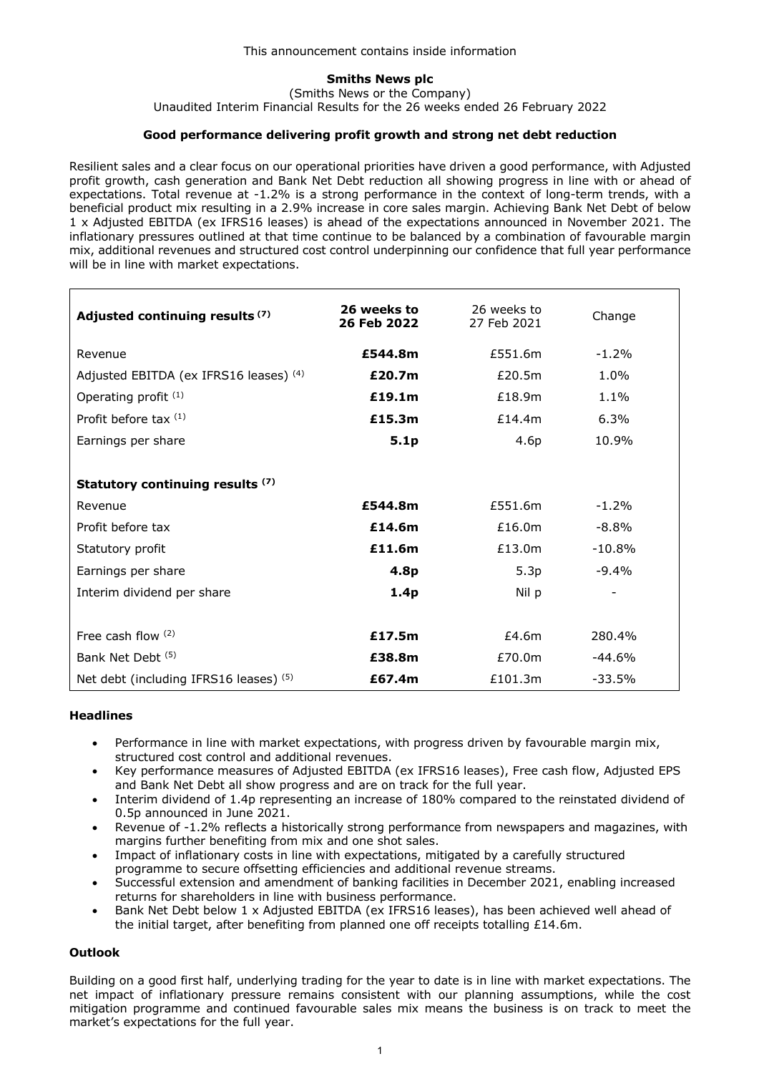# **Smiths News plc**

(Smiths News or the Company)

Unaudited Interim Financial Results for the 26 weeks ended 26 February 2022

# **Good performance delivering profit growth and strong net debt reduction**

Resilient sales and a clear focus on our operational priorities have driven a good performance, with Adjusted profit growth, cash generation and Bank Net Debt reduction all showing progress in line with or ahead of expectations. Total revenue at -1.2% is a strong performance in the context of long-term trends, with a beneficial product mix resulting in a 2.9% increase in core sales margin. Achieving Bank Net Debt of below 1 x Adjusted EBITDA (ex IFRS16 leases) is ahead of the expectations announced in November 2021. The inflationary pressures outlined at that time continue to be balanced by a combination of favourable margin mix, additional revenues and structured cost control underpinning our confidence that full year performance will be in line with market expectations.

| Adjusted continuing results <sup>(7)</sup> | 26 weeks to<br>26 Feb 2022 | 26 weeks to<br>27 Feb 2021 | Change   |
|--------------------------------------------|----------------------------|----------------------------|----------|
| Revenue                                    | £544.8m                    | £551.6m                    | $-1.2%$  |
| Adjusted EBITDA (ex IFRS16 leases) (4)     | £20.7m                     | £20.5 $m$                  | $1.0\%$  |
| Operating profit (1)                       | £19.1m                     | £18.9m                     | $1.1\%$  |
| Profit before tax (1)                      | £15.3m                     | £14.4 $m$                  | 6.3%     |
| Earnings per share                         | 5.1 <sub>p</sub>           | 4.6p                       | 10.9%    |
|                                            |                            |                            |          |
| Statutory continuing results (7)           |                            |                            |          |
| Revenue                                    | £544.8m                    | £551.6m                    | $-1.2%$  |
| Profit before tax                          | £14.6m                     | £16.0 $m$                  | $-8.8\%$ |
| Statutory profit                           | £11.6m                     | £13.0m                     | $-10.8%$ |
| Earnings per share                         | 4.8p                       | 5.3p                       | $-9.4%$  |
| Interim dividend per share                 | 1.4 <sub>p</sub>           | Nil p                      |          |
|                                            |                            |                            |          |
| Free cash flow $(2)$                       | £17.5m                     | £4.6m                      | 280.4%   |
| Bank Net Debt <sup>(5)</sup>               | £38.8m                     | £70.0m                     | $-44.6%$ |
| Net debt (including IFRS16 leases) (5)     | £67.4m                     | £101.3m                    | $-33.5%$ |

# **Headlines**

- Performance in line with market expectations, with progress driven by favourable margin mix, structured cost control and additional revenues.
- Key performance measures of Adjusted EBITDA (ex IFRS16 leases), Free cash flow, Adjusted EPS and Bank Net Debt all show progress and are on track for the full year.
- Interim dividend of 1.4p representing an increase of 180% compared to the reinstated dividend of 0.5p announced in June 2021.
- Revenue of -1.2% reflects a historically strong performance from newspapers and magazines, with margins further benefiting from mix and one shot sales.
- Impact of inflationary costs in line with expectations, mitigated by a carefully structured programme to secure offsetting efficiencies and additional revenue streams.
- Successful extension and amendment of banking facilities in December 2021, enabling increased returns for shareholders in line with business performance.
- Bank Net Debt below 1 x Adjusted EBITDA (ex IFRS16 leases), has been achieved well ahead of the initial target, after benefiting from planned one off receipts totalling £14.6m.

# **Outlook**

Building on a good first half, underlying trading for the year to date is in line with market expectations. The net impact of inflationary pressure remains consistent with our planning assumptions, while the cost mitigation programme and continued favourable sales mix means the business is on track to meet the market's expectations for the full year.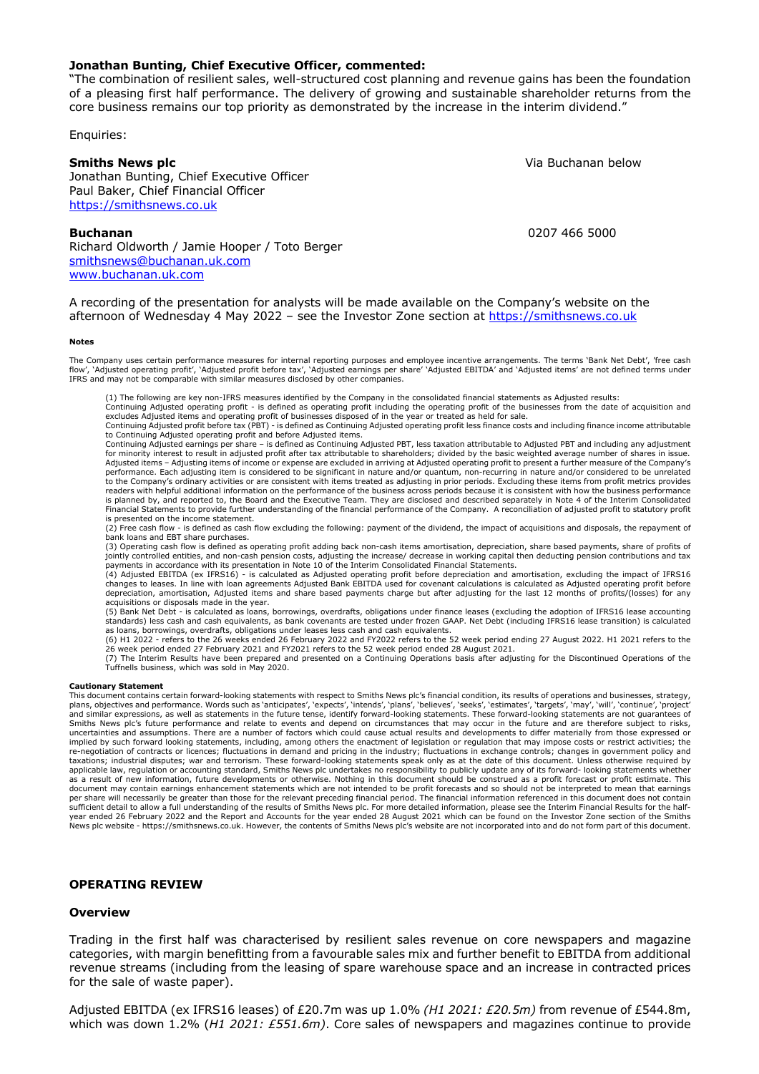#### **Jonathan Bunting, Chief Executive Officer, commented:**

"The combination of resilient sales, well-structured cost planning and revenue gains has been the foundation of a pleasing first half performance. The delivery of growing and sustainable shareholder returns from the core business remains our top priority as demonstrated by the increase in the interim dividend."

Enquiries:

Jonathan Bunting, Chief Executive Officer Paul Baker, Chief Financial Officer https://smithsnews.co.uk

Richard Oldworth / Jamie Hooper / Toto Berger smithsnews@buchanan.uk.com www.buchanan.uk.com

**Smiths News plc Smiths News product the** *News* **Contract of** *Contract Contract Contract Contract Contract Contract Contract Contract Contract Contract Contract Contract Contract Contract Contract Contract Contract Co* 

**Buchanan** 0207 466 5000

A recording of the presentation for analysts will be made available on the Company's website on the afternoon of Wednesday 4 May 2022 - see the Investor Zone section at https://smithsnews.co.uk

#### **Notes**

The Company uses certain performance measures for internal reporting purposes and employee incentive arrangements. The terms 'Bank Net Debt', 'free cash<br>flow', 'Adjusted operating profit', 'Adjusted profit before tax', 'Ad IFRS and may not be comparable with similar measures disclosed by other companies.

(1) The following are key non-IFRS measures identified by the Company in the consolidated financial statements as Adjusted results:

Continuing Adjusted operating profit - is defined as operating profit including the operating profit of the businesses from the date of acquisition and<br>excludes Adjusted items and operating profit of businesses disposed of

Continuing Adjusted profit before tax (PBT) - is defined as Continuing Adjusted operating profit less finance costs and including finance income attributable

to Continuing Adjusted operating profit and before Adjusted items.<br>Continuing Adjusted earnings per share – is defined as Continuing Adjusted PBT, less taxation attributable to Adjusted PBT and including any adjustment<br>for performance. Each adjusting item is considered to be significant in nature and/or quantum, non-recurring in nature and/or considered to be unrelated to the Company's ordinary activities or are consistent with items treated as adjusting in prior periods. Excluding these items from profit metrics provides<br>readers with helpful additional information on the performance of is planned by, and reported to, the Board and the Executive Team. They are disclosed and described separately in Note 4 of the Interim Consolidated Financial Statements to provide further understanding of the financial performance of the Company. A reconciliation of adjusted profit to statutory profit is presented on the income statement.

(2) Free cash flow - is defined as cash flow excluding the following: payment of the dividend, the impact of acquisitions and disposals, the repayment of bank loans and EBT share purchases.

(3) Operating cash flow is defined as operating profit adding back non-cash items amortisation, depreciation, share based payments, share of profits of<br>jointly controlled entities, and non-cash pension costs, adjusting the payments in accordance with its presentation in Note 10 of the Interim Consolidated Financial Statements.

(4) Adjusted EBITDA (ex IFRS16) - is calculated as Adjusted operating profit before depreciation and amortisation, excluding the impact of IFRS16<br>changes to leases. In line with loan agreements Adjusted Bank EBITDA used fo depreciation, amortisation, Adjusted items and share based payments charge but after adjusting for the last 12 months of profits/(losses) for any acquisitions or disposals made in the year.

(5) Bank Net Debt - is calculated as loans, borrowings, overdrafts, obligations under finance leases (excluding the adoption of IFRS16 lease accounting<br>standards) less cash and cash equivalents, as bank covenants are teste as loans, borrowings, overdrafts, obligations under leases less cash and cash equivalents.

(6) H1 2022 - refers to the 26 weeks ended 26 February 2022 and FY2022 refers to the 52 week period ending 27 August 2022. H1 2021 refers to the<br>26 week period ended 27 February 2021 and FY2021 refers to the 52 week period

(7) The Interim Results have been prepared and presented on a Continuing Operations basis after adjusting for the Discontinued Operations of the Tuffnells business, which was sold in May 2020.

#### **Cautionary Statement**

This document contains certain forward-looking statements with respect to Smiths News plc's financial condition, its results of operations and businesses, strategy, plans, objectives and performance. Words such as 'anticipates', 'expects', 'intends', 'plans', 'believes', 'seeks', 'estimates', 'targets', 'may', 'will', 'continue', 'project' and similar expressions, as well as statements in the future tense, identify forward-looking statements. These forward-looking statements are not guarantees of<br>Smiths News plc's future performance and relate to events and uncertainties and assumptions. There are a number of factors which could cause actual results and developments to differ materially from those expressed or implied by such forward looking statements, including, among others the enactment of legislation or regulation that may impose costs or restrict activities; the<br>re-negotiation of contracts or licences; fluctuations in dema as a result of new information, future developments or otherwise. Nothing in this document should be construed as a profit forecast or profit estimate. This<br>document may contain earnings enhancement statements which are no per share will necessarily be greater than those for the relevant preceding financial period. The financial information referenced in this document does not contain sufficient detail to allow a full understanding of the results of Smiths News plc. For more detailed information, please see the Interim Financial Results for the halfyear ended 26 February 2022 and the Report and Accounts for the year ended 28 August 2021 which can be found on the Investor Zone section of the Smiths<br>News plc website - https://smithsnews.co.uk. However, the contents of

#### **OPERATING REVIEW**

#### **Overview**

Trading in the first half was characterised by resilient sales revenue on core newspapers and magazine categories, with margin benefitting from a favourable sales mix and further benefit to EBITDA from additional revenue streams (including from the leasing of spare warehouse space and an increase in contracted prices for the sale of waste paper).

Adjusted EBITDA (ex IFRS16 leases) of £20.7m was up 1.0% *(H1 2021: £20.5m)* from revenue of £544.8m, which was down 1.2% (*H1 2021: £551.6m)*. Core sales of newspapers and magazines continue to provide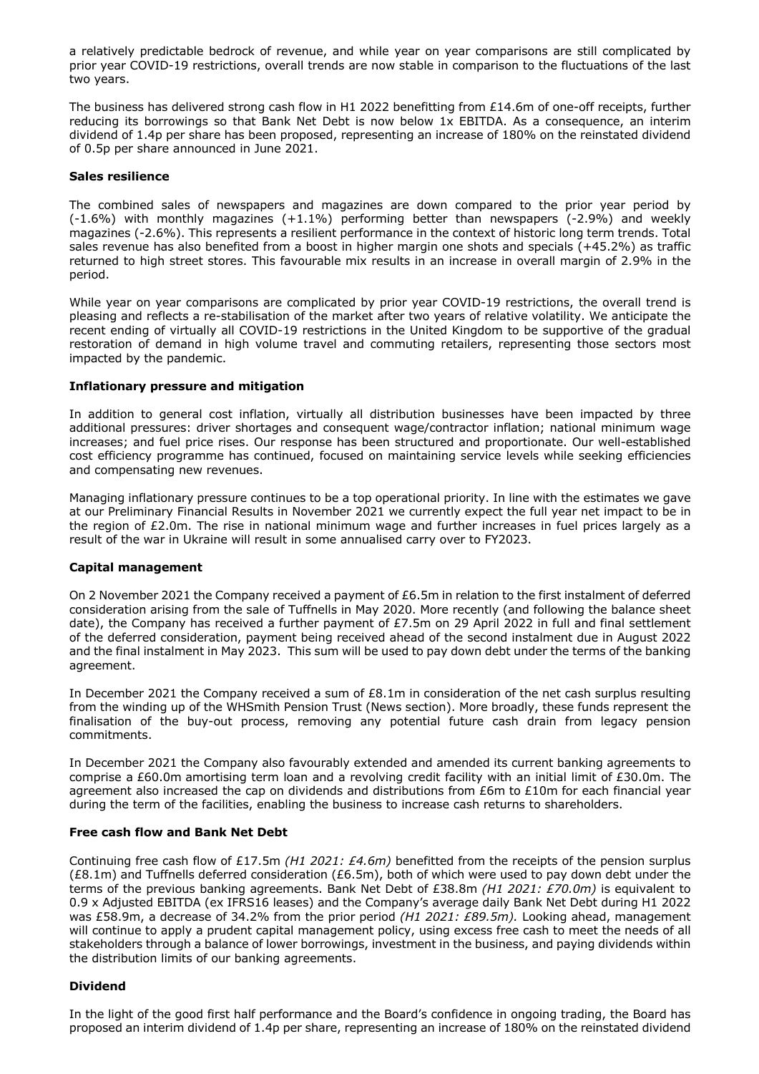a relatively predictable bedrock of revenue, and while year on year comparisons are still complicated by prior year COVID-19 restrictions, overall trends are now stable in comparison to the fluctuations of the last two years.

The business has delivered strong cash flow in H1 2022 benefitting from £14.6m of one-off receipts, further reducing its borrowings so that Bank Net Debt is now below 1x EBITDA. As a consequence, an interim dividend of 1.4p per share has been proposed, representing an increase of 180% on the reinstated dividend of 0.5p per share announced in June 2021.

## **Sales resilience**

The combined sales of newspapers and magazines are down compared to the prior year period by  $(-1.6%)$  with monthly magazines  $(+1.1%)$  performing better than newspapers  $(-2.9%)$  and weekly magazines (-2.6%). This represents a resilient performance in the context of historic long term trends. Total sales revenue has also benefited from a boost in higher margin one shots and specials (+45.2%) as traffic returned to high street stores. This favourable mix results in an increase in overall margin of 2.9% in the period.

While year on year comparisons are complicated by prior year COVID-19 restrictions, the overall trend is pleasing and reflects a re-stabilisation of the market after two years of relative volatility. We anticipate the recent ending of virtually all COVID-19 restrictions in the United Kingdom to be supportive of the gradual restoration of demand in high volume travel and commuting retailers, representing those sectors most impacted by the pandemic.

# **Inflationary pressure and mitigation**

In addition to general cost inflation, virtually all distribution businesses have been impacted by three additional pressures: driver shortages and consequent wage/contractor inflation; national minimum wage increases; and fuel price rises. Our response has been structured and proportionate. Our well-established cost efficiency programme has continued, focused on maintaining service levels while seeking efficiencies and compensating new revenues.

Managing inflationary pressure continues to be a top operational priority. In line with the estimates we gave at our Preliminary Financial Results in November 2021 we currently expect the full year net impact to be in the region of £2.0m. The rise in national minimum wage and further increases in fuel prices largely as a result of the war in Ukraine will result in some annualised carry over to FY2023.

# **Capital management**

On 2 November 2021 the Company received a payment of £6.5m in relation to the first instalment of deferred consideration arising from the sale of Tuffnells in May 2020. More recently (and following the balance sheet date), the Company has received a further payment of £7.5m on 29 April 2022 in full and final settlement of the deferred consideration, payment being received ahead of the second instalment due in August 2022 and the final instalment in May 2023. This sum will be used to pay down debt under the terms of the banking agreement.

In December 2021 the Company received a sum of £8.1m in consideration of the net cash surplus resulting from the winding up of the WHSmith Pension Trust (News section). More broadly, these funds represent the finalisation of the buy-out process, removing any potential future cash drain from legacy pension commitments.

In December 2021 the Company also favourably extended and amended its current banking agreements to comprise a £60.0m amortising term loan and a revolving credit facility with an initial limit of £30.0m. The agreement also increased the cap on dividends and distributions from £6m to £10m for each financial year during the term of the facilities, enabling the business to increase cash returns to shareholders.

# **Free cash flow and Bank Net Debt**

Continuing free cash flow of £17.5m *(H1 2021: £4.6m)* benefitted from the receipts of the pension surplus (£8.1m) and Tuffnells deferred consideration (£6.5m), both of which were used to pay down debt under the terms of the previous banking agreements. Bank Net Debt of £38.8m *(H1 2021: £70.0m)* is equivalent to 0.9 x Adjusted EBITDA (ex IFRS16 leases) and the Company's average daily Bank Net Debt during H1 2022 was £58.9m, a decrease of 34.2% from the prior period *(H1 2021: £89.5m).* Looking ahead, management will continue to apply a prudent capital management policy, using excess free cash to meet the needs of all stakeholders through a balance of lower borrowings, investment in the business, and paying dividends within the distribution limits of our banking agreements.

# **Dividend**

In the light of the good first half performance and the Board's confidence in ongoing trading, the Board has proposed an interim dividend of 1.4p per share, representing an increase of 180% on the reinstated dividend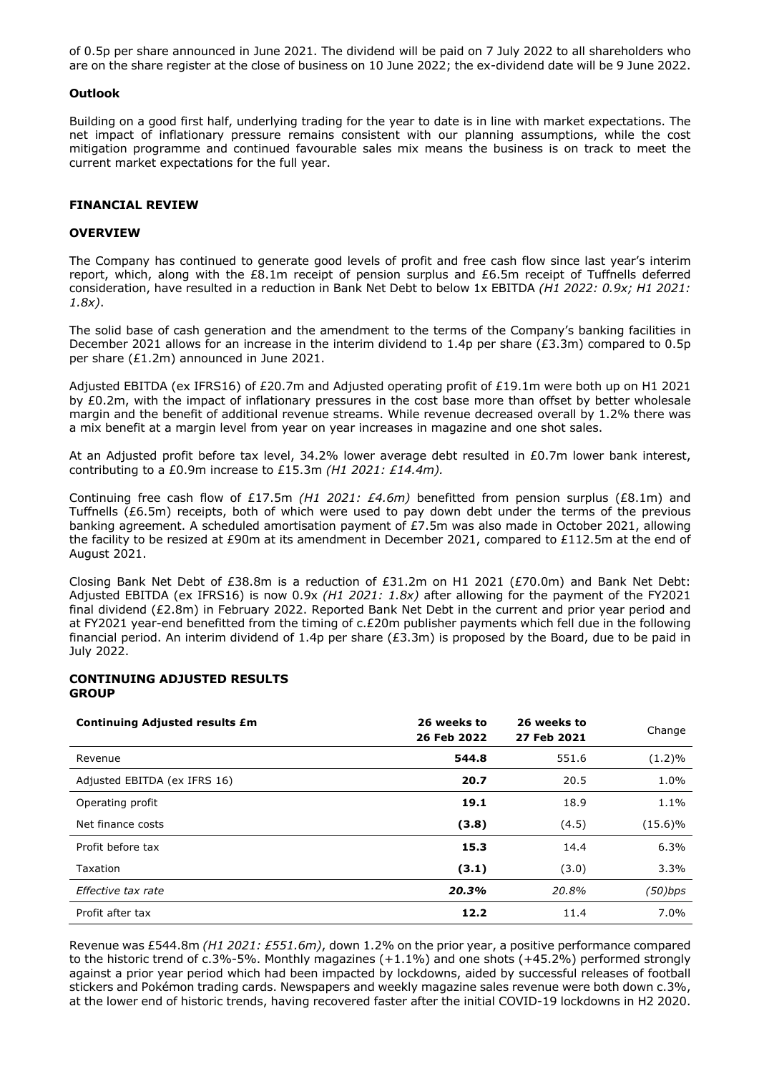of 0.5p per share announced in June 2021. The dividend will be paid on 7 July 2022 to all shareholders who are on the share register at the close of business on 10 June 2022; the ex-dividend date will be 9 June 2022.

# **Outlook**

Building on a good first half, underlying trading for the year to date is in line with market expectations. The net impact of inflationary pressure remains consistent with our planning assumptions, while the cost mitigation programme and continued favourable sales mix means the business is on track to meet the current market expectations for the full year.

# **FINANCIAL REVIEW**

# **OVERVIEW**

The Company has continued to generate good levels of profit and free cash flow since last year's interim report, which, along with the £8.1m receipt of pension surplus and £6.5m receipt of Tuffnells deferred consideration, have resulted in a reduction in Bank Net Debt to below 1x EBITDA *(H1 2022: 0.9x; H1 2021: 1.8x)*.

The solid base of cash generation and the amendment to the terms of the Company's banking facilities in December 2021 allows for an increase in the interim dividend to 1.4p per share (£3.3m) compared to 0.5p per share (£1.2m) announced in June 2021.

Adjusted EBITDA (ex IFRS16) of £20.7m and Adjusted operating profit of £19.1m were both up on H1 2021 by £0.2m, with the impact of inflationary pressures in the cost base more than offset by better wholesale margin and the benefit of additional revenue streams. While revenue decreased overall by 1.2% there was a mix benefit at a margin level from year on year increases in magazine and one shot sales.

At an Adjusted profit before tax level, 34.2% lower average debt resulted in £0.7m lower bank interest, contributing to a £0.9m increase to £15.3m *(H1 2021: £14.4m).* 

Continuing free cash flow of £17.5m *(H1 2021: £4.6m)* benefitted from pension surplus (£8.1m) and Tuffnells (£6.5m) receipts, both of which were used to pay down debt under the terms of the previous banking agreement. A scheduled amortisation payment of £7.5m was also made in October 2021, allowing the facility to be resized at £90m at its amendment in December 2021, compared to £112.5m at the end of August 2021.

Closing Bank Net Debt of £38.8m is a reduction of £31.2m on H1 2021 (£70.0m) and Bank Net Debt: Adjusted EBITDA (ex IFRS16) is now 0.9x *(H1 2021: 1.8x)* after allowing for the payment of the FY2021 final dividend (£2.8m) in February 2022. Reported Bank Net Debt in the current and prior year period and at FY2021 year-end benefitted from the timing of c.£20m publisher payments which fell due in the following financial period. An interim dividend of 1.4p per share (£3.3m) is proposed by the Board, due to be paid in July 2022.

#### **CONTINUING ADJUSTED RESULTS GROUP**

| <b>Continuing Adjusted results £m</b> | 26 weeks to<br>26 Feb 2022 | 26 weeks to<br>27 Feb 2021 | Change     |
|---------------------------------------|----------------------------|----------------------------|------------|
| Revenue                               | 544.8                      | 551.6                      | $(1.2)\%$  |
| Adjusted EBITDA (ex IFRS 16)          | 20.7                       | 20.5                       | 1.0%       |
| Operating profit                      | 19.1                       | 18.9                       | 1.1%       |
| Net finance costs                     | (3.8)                      | (4.5)                      | $(15.6)\%$ |
| Profit before tax                     | 15.3                       | 14.4                       | 6.3%       |
| Taxation                              | (3.1)                      | (3.0)                      | 3.3%       |
| Effective tax rate                    | 20.3%                      | 20.8%                      | $(50)$ bps |
| Profit after tax                      | 12.2                       | 11.4                       | 7.0%       |

Revenue was £544.8m *(H1 2021: £551.6m)*, down 1.2% on the prior year, a positive performance compared to the historic trend of c.3%-5%. Monthly magazines (+1.1%) and one shots (+45.2%) performed strongly against a prior year period which had been impacted by lockdowns, aided by successful releases of football stickers and Pokémon trading cards. Newspapers and weekly magazine sales revenue were both down c.3%, at the lower end of historic trends, having recovered faster after the initial COVID-19 lockdowns in H2 2020.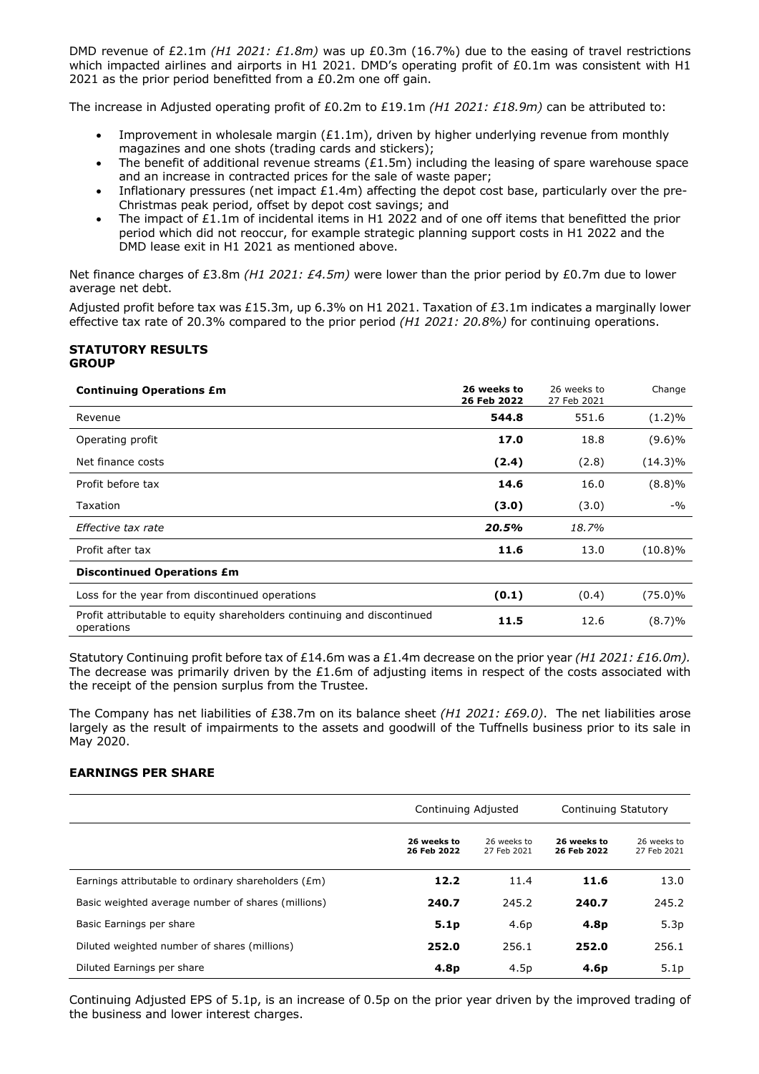DMD revenue of £2.1m *(H1 2021: £1.8m)* was up £0.3m (16.7%) due to the easing of travel restrictions which impacted airlines and airports in H1 2021. DMD's operating profit of £0.1m was consistent with H1 2021 as the prior period benefitted from a £0.2m one off gain.

The increase in Adjusted operating profit of £0.2m to £19.1m *(H1 2021: £18.9m)* can be attributed to:

- Improvement in wholesale margin  $(E1.1m)$ , driven by higher underlying revenue from monthly magazines and one shots (trading cards and stickers);
- The benefit of additional revenue streams ( $£1.5m$ ) including the leasing of spare warehouse space and an increase in contracted prices for the sale of waste paper;
- Inflationary pressures (net impact  $£1.4m$ ) affecting the depot cost base, particularly over the pre-Christmas peak period, offset by depot cost savings; and
- The impact of  $£1.1m$  of incidental items in H1 2022 and of one off items that benefitted the prior period which did not reoccur, for example strategic planning support costs in H1 2022 and the DMD lease exit in H1 2021 as mentioned above.

Net finance charges of £3.8m *(H1 2021: £4.5m)* were lower than the prior period by £0.7m due to lower average net debt.

Adjusted profit before tax was £15.3m, up 6.3% on H1 2021. Taxation of £3.1m indicates a marginally lower effective tax rate of 20.3% compared to the prior period *(H1 2021: 20.8%)* for continuing operations.

## **STATUTORY RESULTS GROUP**

| <b>Continuing Operations £m</b>                                                      | 26 weeks to<br>26 Feb 2022 | 26 weeks to<br>27 Feb 2021 | Change     |
|--------------------------------------------------------------------------------------|----------------------------|----------------------------|------------|
| Revenue                                                                              | 544.8                      | 551.6                      | $(1.2)\%$  |
| Operating profit                                                                     | 17.0                       | 18.8                       | (9.6)%     |
| Net finance costs                                                                    | (2.4)                      | (2.8)                      | (14.3)%    |
| Profit before tax                                                                    | 14.6                       | 16.0                       | (8.8)%     |
| Taxation                                                                             | (3.0)                      | (3.0)                      | $-9/6$     |
| Effective tax rate                                                                   | 20.5%                      | 18.7%                      |            |
| Profit after tax                                                                     | 11.6                       | 13.0                       | $(10.8)\%$ |
| <b>Discontinued Operations £m</b>                                                    |                            |                            |            |
| Loss for the year from discontinued operations                                       | (0.1)                      | (0.4)                      | $(75.0)\%$ |
| Profit attributable to equity shareholders continuing and discontinued<br>operations | 11.5                       | 12.6                       | (8.7)%     |

Statutory Continuing profit before tax of £14.6m was a £1.4m decrease on the prior year *(H1 2021: £16.0m).* The decrease was primarily driven by the  $E1.6$ m of adjusting items in respect of the costs associated with the receipt of the pension surplus from the Trustee.

The Company has net liabilities of £38.7m on its balance sheet *(H1 2021: £69.0)*. The net liabilities arose largely as the result of impairments to the assets and goodwill of the Tuffnells business prior to its sale in May 2020.

# **EARNINGS PER SHARE**

|                                                     | Continuing Adjusted        |                            | Continuing Statutory       |                            |
|-----------------------------------------------------|----------------------------|----------------------------|----------------------------|----------------------------|
|                                                     | 26 weeks to<br>26 Feb 2022 | 26 weeks to<br>27 Feb 2021 | 26 weeks to<br>26 Feb 2022 | 26 weeks to<br>27 Feb 2021 |
| Earnings attributable to ordinary shareholders (£m) | 12.2                       | 11.4                       | 11.6                       | 13.0                       |
| Basic weighted average number of shares (millions)  | 240.7                      | 245.2                      | 240.7                      | 245.2                      |
| Basic Earnings per share                            | 5.1 <sub>p</sub>           | 4.6p                       | 4.8p                       | 5.3 <sub>p</sub>           |
| Diluted weighted number of shares (millions)        | 252.0                      | 256.1                      | 252.0                      | 256.1                      |
| Diluted Earnings per share                          | 4.8p                       | 4.5p                       | 4.6 <sub>p</sub>           | 5.1 <sub>p</sub>           |

Continuing Adjusted EPS of 5.1p, is an increase of 0.5p on the prior year driven by the improved trading of the business and lower interest charges.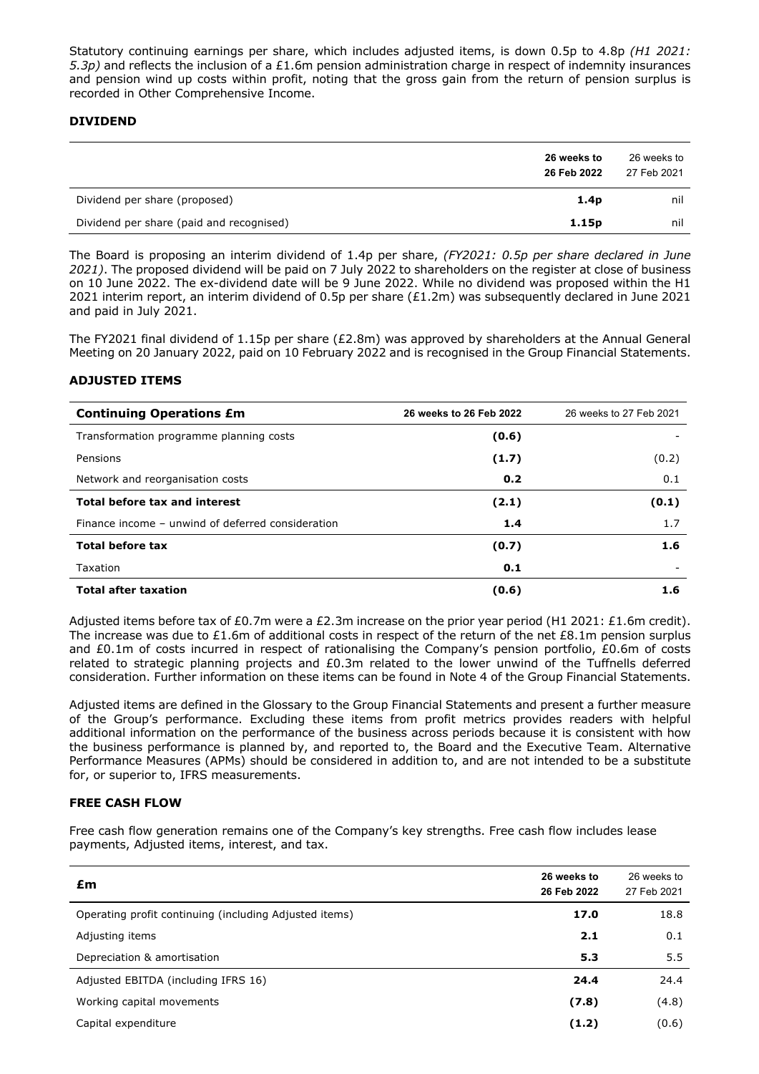Statutory continuing earnings per share, which includes adjusted items, is down 0.5p to 4.8p *(H1 2021: 5.3p)* and reflects the inclusion of a £1.6m pension administration charge in respect of indemnity insurances and pension wind up costs within profit, noting that the gross gain from the return of pension surplus is recorded in Other Comprehensive Income.

# **DIVIDEND**

|                                          | 26 weeks to<br>26 Feb 2022 | 26 weeks to<br>27 Feb 2021 |
|------------------------------------------|----------------------------|----------------------------|
| Dividend per share (proposed)            | 1.4 <sub>p</sub>           | nil                        |
| Dividend per share (paid and recognised) | 1.15 <sub>p</sub>          | nil                        |

The Board is proposing an interim dividend of 1.4p per share, *(FY2021: 0.5p per share declared in June 2021)*. The proposed dividend will be paid on 7 July 2022 to shareholders on the register at close of business on 10 June 2022. The ex-dividend date will be 9 June 2022. While no dividend was proposed within the H1 2021 interim report, an interim dividend of 0.5p per share (£1.2m) was subsequently declared in June 2021 and paid in July 2021.

The FY2021 final dividend of 1.15p per share (£2.8m) was approved by shareholders at the Annual General Meeting on 20 January 2022, paid on 10 February 2022 and is recognised in the Group Financial Statements.

# **ADJUSTED ITEMS**

| <b>Continuing Operations £m</b>                   | 26 weeks to 26 Feb 2022 | 26 weeks to 27 Feb 2021 |
|---------------------------------------------------|-------------------------|-------------------------|
| Transformation programme planning costs           | (0.6)                   |                         |
| Pensions                                          | (1.7)                   | (0.2)                   |
| Network and reorganisation costs                  | 0.2                     | 0.1                     |
| Total before tax and interest                     | (2.1)                   | (0.1)                   |
| Finance income – unwind of deferred consideration | 1.4                     | 1.7                     |
| <b>Total before tax</b>                           | (0.7)                   | 1.6                     |
| <b>Taxation</b>                                   | 0.1                     |                         |
| <b>Total after taxation</b>                       | (0.6)                   | 1.6                     |

Adjusted items before tax of £0.7m were a £2.3m increase on the prior year period (H1 2021: £1.6m credit). The increase was due to £1.6m of additional costs in respect of the return of the net £8.1m pension surplus and £0.1m of costs incurred in respect of rationalising the Company's pension portfolio, £0.6m of costs related to strategic planning projects and £0.3m related to the lower unwind of the Tuffnells deferred consideration. Further information on these items can be found in Note 4 of the Group Financial Statements.

Adjusted items are defined in the Glossary to the Group Financial Statements and present a further measure of the Group's performance. Excluding these items from profit metrics provides readers with helpful additional information on the performance of the business across periods because it is consistent with how the business performance is planned by, and reported to, the Board and the Executive Team. Alternative Performance Measures (APMs) should be considered in addition to, and are not intended to be a substitute for, or superior to, IFRS measurements.

# **FREE CASH FLOW**

Free cash flow generation remains one of the Company's key strengths. Free cash flow includes lease payments, Adjusted items, interest, and tax.

| £m                                                     | 26 weeks to<br>26 Feb 2022 | 26 weeks to<br>27 Feb 2021 |
|--------------------------------------------------------|----------------------------|----------------------------|
| Operating profit continuing (including Adjusted items) | 17.0                       | 18.8                       |
| Adjusting items                                        | 2.1                        | 0.1                        |
| Depreciation & amortisation                            | 5.3                        | 5.5                        |
| Adjusted EBITDA (including IFRS 16)                    | 24.4                       | 24.4                       |
| Working capital movements                              | (7.8)                      | (4.8)                      |
| Capital expenditure                                    | (1.2)                      | (0.6)                      |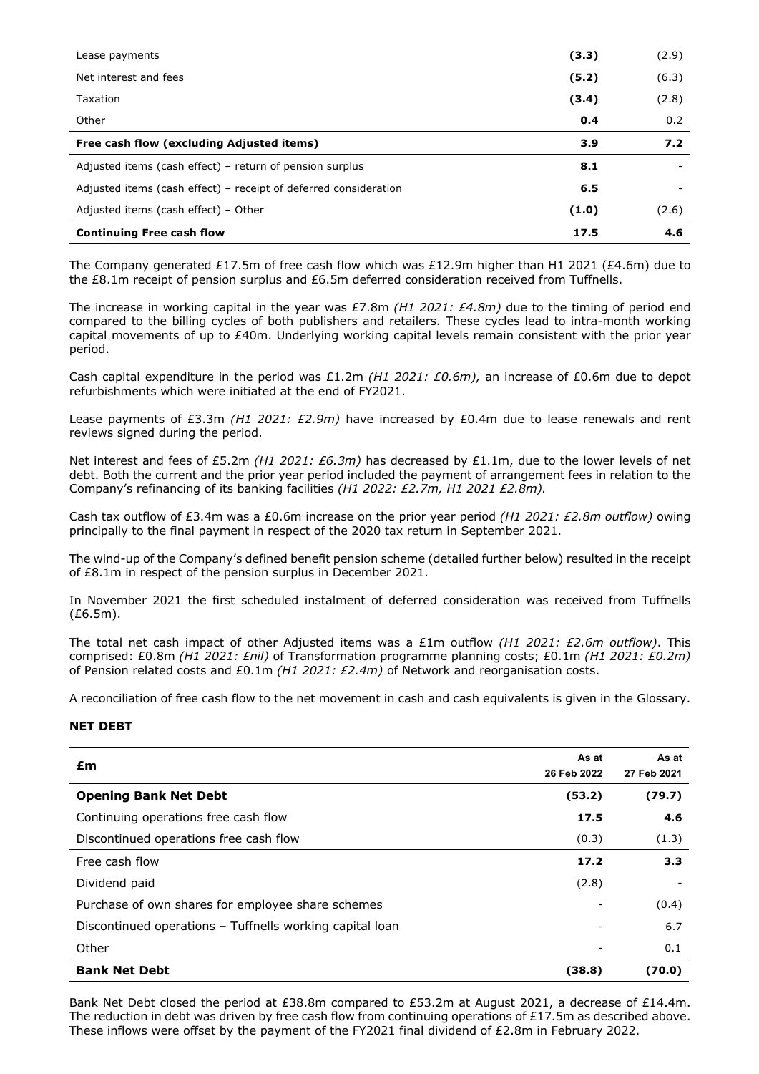| Lease payments                                                   | (3.3) | (2.9) |
|------------------------------------------------------------------|-------|-------|
| Net interest and fees                                            | (5.2) | (6.3) |
| Taxation                                                         | (3.4) | (2.8) |
| Other                                                            | 0.4   | 0.2   |
| Free cash flow (excluding Adjusted items)                        | 3.9   | 7.2   |
| Adjusted items (cash effect) – return of pension surplus         | 8.1   |       |
| Adjusted items (cash effect) – receipt of deferred consideration | 6.5   |       |
| Adjusted items (cash effect) - Other                             | (1.0) | (2.6) |
| <b>Continuing Free cash flow</b>                                 | 17.5  | 4.6   |

The Company generated £17.5m of free cash flow which was £12.9m higher than H1 2021 (£4.6m) due to the £8.1m receipt of pension surplus and £6.5m deferred consideration received from Tuffnells.

The increase in working capital in the year was £7.8m *(H1 2021: £4.8m)* due to the timing of period end compared to the billing cycles of both publishers and retailers. These cycles lead to intra-month working capital movements of up to £40m. Underlying working capital levels remain consistent with the prior year period.

Cash capital expenditure in the period was £1.2m *(H1 2021: £0.6m),* an increase of £0.6m due to depot refurbishments which were initiated at the end of FY2021.

Lease payments of £3.3m *(H1 2021: £2.9m)* have increased by £0.4m due to lease renewals and rent reviews signed during the period.

Net interest and fees of £5.2m *(H1 2021: £6.3m)* has decreased by £1.1m, due to the lower levels of net debt. Both the current and the prior year period included the payment of arrangement fees in relation to the Company's refinancing of its banking facilities *(H1 2022: £2.7m, H1 2021 £2.8m).*

Cash tax outflow of £3.4m was a £0.6m increase on the prior year period *(H1 2021: £2.8m outflow)* owing principally to the final payment in respect of the 2020 tax return in September 2021.

The wind-up of the Company's defined benefit pension scheme (detailed further below) resulted in the receipt of £8.1m in respect of the pension surplus in December 2021.

In November 2021 the first scheduled instalment of deferred consideration was received from Tuffnells (£6.5m).

The total net cash impact of other Adjusted items was a £1m outflow *(H1 2021: £2.6m outflow)*. This comprised: £0.8m *(H1 2021: £nil)* of Transformation programme planning costs; £0.1m *(H1 2021: £0.2m)* of Pension related costs and £0.1m *(H1 2021: £2.4m)* of Network and reorganisation costs.

A reconciliation of free cash flow to the net movement in cash and cash equivalents is given in the Glossary.

# **NET DEBT**

| £m                                                       | As at<br>26 Feb 2022 | As at<br>27 Feb 2021 |
|----------------------------------------------------------|----------------------|----------------------|
| <b>Opening Bank Net Debt</b>                             | (53.2)               | (79.7)               |
| Continuing operations free cash flow                     | 17.5                 | 4.6                  |
| Discontinued operations free cash flow                   | (0.3)                | (1.3)                |
| Free cash flow                                           | 17.2                 | 3.3                  |
| Dividend paid                                            | (2.8)                |                      |
| Purchase of own shares for employee share schemes        |                      | (0.4)                |
| Discontinued operations - Tuffnells working capital loan |                      | 6.7                  |
| Other                                                    |                      | 0.1                  |
| <b>Bank Net Debt</b>                                     | (38.8)               | (70.0)               |

Bank Net Debt closed the period at £38.8m compared to £53.2m at August 2021, a decrease of £14.4m. The reduction in debt was driven by free cash flow from continuing operations of  $£17.5m$  as described above. These inflows were offset by the payment of the FY2021 final dividend of £2.8m in February 2022.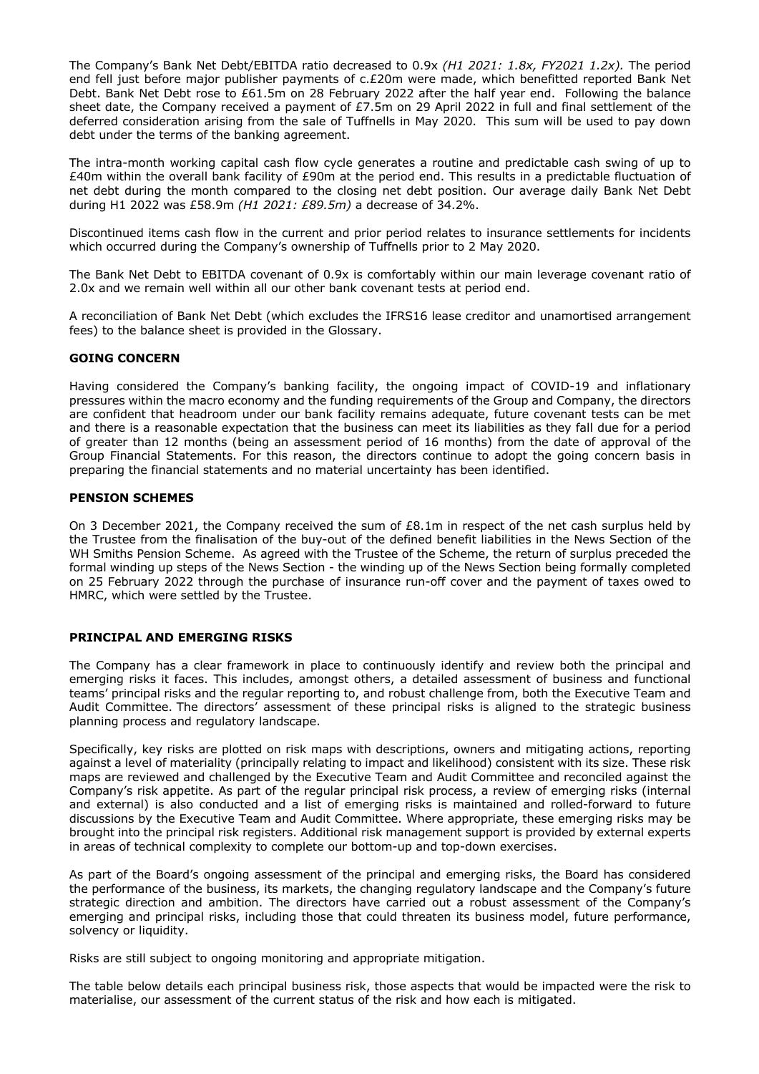The Company's Bank Net Debt/EBITDA ratio decreased to 0.9x *(H1 2021: 1.8x, FY2021 1.2x).* The period end fell just before major publisher payments of c.£20m were made, which benefitted reported Bank Net Debt. Bank Net Debt rose to £61.5m on 28 February 2022 after the half year end. Following the balance sheet date, the Company received a payment of £7.5m on 29 April 2022 in full and final settlement of the deferred consideration arising from the sale of Tuffnells in May 2020. This sum will be used to pay down debt under the terms of the banking agreement.

The intra-month working capital cash flow cycle generates a routine and predictable cash swing of up to £40m within the overall bank facility of £90m at the period end. This results in a predictable fluctuation of net debt during the month compared to the closing net debt position. Our average daily Bank Net Debt during H1 2022 was £58.9m *(H1 2021: £89.5m)* a decrease of 34.2%.

Discontinued items cash flow in the current and prior period relates to insurance settlements for incidents which occurred during the Company's ownership of Tuffnells prior to 2 May 2020.

The Bank Net Debt to EBITDA covenant of 0.9x is comfortably within our main leverage covenant ratio of 2.0x and we remain well within all our other bank covenant tests at period end.

A reconciliation of Bank Net Debt (which excludes the IFRS16 lease creditor and unamortised arrangement fees) to the balance sheet is provided in the Glossary.

# **GOING CONCERN**

Having considered the Company's banking facility, the ongoing impact of COVID-19 and inflationary pressures within the macro economy and the funding requirements of the Group and Company, the directors are confident that headroom under our bank facility remains adequate, future covenant tests can be met and there is a reasonable expectation that the business can meet its liabilities as they fall due for a period of greater than 12 months (being an assessment period of 16 months) from the date of approval of the Group Financial Statements. For this reason, the directors continue to adopt the going concern basis in preparing the financial statements and no material uncertainty has been identified.

## **PENSION SCHEMES**

On 3 December 2021, the Company received the sum of £8.1m in respect of the net cash surplus held by the Trustee from the finalisation of the buy-out of the defined benefit liabilities in the News Section of the WH Smiths Pension Scheme. As agreed with the Trustee of the Scheme, the return of surplus preceded the formal winding up steps of the News Section - the winding up of the News Section being formally completed on 25 February 2022 through the purchase of insurance run-off cover and the payment of taxes owed to HMRC, which were settled by the Trustee.

# **PRINCIPAL AND EMERGING RISKS**

The Company has a clear framework in place to continuously identify and review both the principal and emerging risks it faces. This includes, amongst others, a detailed assessment of business and functional teams' principal risks and the regular reporting to, and robust challenge from, both the Executive Team and Audit Committee. The directors' assessment of these principal risks is aligned to the strategic business planning process and regulatory landscape.

Specifically, key risks are plotted on risk maps with descriptions, owners and mitigating actions, reporting against a level of materiality (principally relating to impact and likelihood) consistent with its size. These risk maps are reviewed and challenged by the Executive Team and Audit Committee and reconciled against the Company's risk appetite. As part of the regular principal risk process, a review of emerging risks (internal and external) is also conducted and a list of emerging risks is maintained and rolled-forward to future discussions by the Executive Team and Audit Committee. Where appropriate, these emerging risks may be brought into the principal risk registers. Additional risk management support is provided by external experts in areas of technical complexity to complete our bottom-up and top-down exercises.

As part of the Board's ongoing assessment of the principal and emerging risks, the Board has considered the performance of the business, its markets, the changing regulatory landscape and the Company's future strategic direction and ambition. The directors have carried out a robust assessment of the Company's emerging and principal risks, including those that could threaten its business model, future performance, solvency or liquidity.

Risks are still subject to ongoing monitoring and appropriate mitigation.

The table below details each principal business risk, those aspects that would be impacted were the risk to materialise, our assessment of the current status of the risk and how each is mitigated.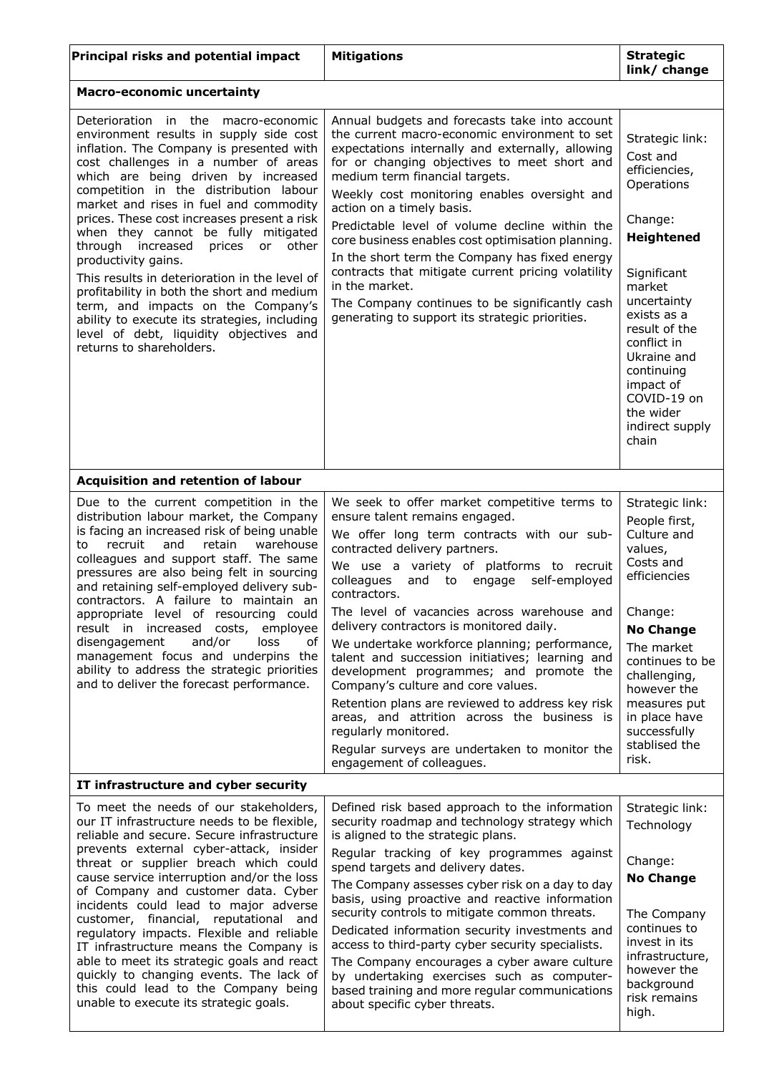| Principal risks and potential impact                                                                                                                                                                                                                                                                                                                                                                                                                                                                                                                                                                                                                                                                                    | <b>Mitigations</b>                                                                                                                                                                                                                                                                                                                                                                                                                                                                                                                                                                                                                                                                                                                                                 | <b>Strategic</b><br>link/ change                                                                                                                                                                                                                                                    |
|-------------------------------------------------------------------------------------------------------------------------------------------------------------------------------------------------------------------------------------------------------------------------------------------------------------------------------------------------------------------------------------------------------------------------------------------------------------------------------------------------------------------------------------------------------------------------------------------------------------------------------------------------------------------------------------------------------------------------|--------------------------------------------------------------------------------------------------------------------------------------------------------------------------------------------------------------------------------------------------------------------------------------------------------------------------------------------------------------------------------------------------------------------------------------------------------------------------------------------------------------------------------------------------------------------------------------------------------------------------------------------------------------------------------------------------------------------------------------------------------------------|-------------------------------------------------------------------------------------------------------------------------------------------------------------------------------------------------------------------------------------------------------------------------------------|
| <b>Macro-economic uncertainty</b>                                                                                                                                                                                                                                                                                                                                                                                                                                                                                                                                                                                                                                                                                       |                                                                                                                                                                                                                                                                                                                                                                                                                                                                                                                                                                                                                                                                                                                                                                    |                                                                                                                                                                                                                                                                                     |
| Deterioration in the macro-economic<br>environment results in supply side cost<br>inflation. The Company is presented with<br>cost challenges in a number of areas<br>which are being driven by increased<br>competition in the distribution labour<br>market and rises in fuel and commodity<br>prices. These cost increases present a risk<br>when they cannot be fully mitigated<br>through<br>increased<br>prices<br>other<br>or<br>productivity gains.<br>This results in deterioration in the level of<br>profitability in both the short and medium<br>term, and impacts on the Company's<br>ability to execute its strategies, including<br>level of debt, liquidity objectives and<br>returns to shareholders. | Annual budgets and forecasts take into account<br>the current macro-economic environment to set<br>expectations internally and externally, allowing<br>for or changing objectives to meet short and<br>medium term financial targets.<br>Weekly cost monitoring enables oversight and<br>action on a timely basis.<br>Predictable level of volume decline within the<br>core business enables cost optimisation planning.<br>In the short term the Company has fixed energy<br>contracts that mitigate current pricing volatility<br>in the market.<br>The Company continues to be significantly cash<br>generating to support its strategic priorities.                                                                                                           | Strategic link:<br>Cost and<br>efficiencies,<br>Operations<br>Change:<br><b>Heightened</b><br>Significant<br>market<br>uncertainty<br>exists as a<br>result of the<br>conflict in<br>Ukraine and<br>continuing<br>impact of<br>COVID-19 on<br>the wider<br>indirect supply<br>chain |
| Acquisition and retention of labour                                                                                                                                                                                                                                                                                                                                                                                                                                                                                                                                                                                                                                                                                     |                                                                                                                                                                                                                                                                                                                                                                                                                                                                                                                                                                                                                                                                                                                                                                    |                                                                                                                                                                                                                                                                                     |
| Due to the current competition in the<br>distribution labour market, the Company<br>is facing an increased risk of being unable<br>recruit<br>and<br>retain<br>warehouse<br>to<br>colleagues and support staff. The same<br>pressures are also being felt in sourcing<br>and retaining self-employed delivery sub-<br>contractors. A failure to maintain an<br>appropriate level of resourcing could<br>result in increased costs, employee<br>and/or<br>loss<br>disengagement<br>of<br>management focus and underpins the<br>ability to address the strategic priorities<br>and to deliver the forecast performance.                                                                                                   | We seek to offer market competitive terms to<br>ensure talent remains engaged.<br>We offer long term contracts with our sub-<br>contracted delivery partners.<br>We use a variety of platforms to recruit<br>self-employed<br>colleagues<br>and to engage<br>contractors.<br>The level of vacancies across warehouse and<br>delivery contractors is monitored daily.<br>We undertake workforce planning; performance,<br>talent and succession initiatives; learning and<br>development programmes; and promote the<br>Company's culture and core values.<br>Retention plans are reviewed to address key risk<br>areas, and attrition across the business is<br>regularly monitored.<br>Regular surveys are undertaken to monitor the<br>engagement of colleagues. | Strategic link:<br>People first,<br>Culture and<br>values,<br>Costs and<br>efficiencies<br>Change:<br><b>No Change</b><br>The market<br>continues to be<br>challenging,<br>however the<br>measures put<br>in place have<br>successfully<br>stablised the<br>risk.                   |
| IT infrastructure and cyber security                                                                                                                                                                                                                                                                                                                                                                                                                                                                                                                                                                                                                                                                                    |                                                                                                                                                                                                                                                                                                                                                                                                                                                                                                                                                                                                                                                                                                                                                                    |                                                                                                                                                                                                                                                                                     |
| To meet the needs of our stakeholders,<br>our IT infrastructure needs to be flexible,<br>reliable and secure. Secure infrastructure<br>prevents external cyber-attack, insider<br>threat or supplier breach which could<br>cause service interruption and/or the loss<br>of Company and customer data. Cyber<br>incidents could lead to major adverse<br>customer, financial, reputational and<br>regulatory impacts. Flexible and reliable<br>IT infrastructure means the Company is<br>able to meet its strategic goals and react<br>quickly to changing events. The lack of<br>this could lead to the Company being<br>unable to execute its strategic goals.                                                        | Defined risk based approach to the information<br>security roadmap and technology strategy which<br>is aligned to the strategic plans.<br>Regular tracking of key programmes against<br>spend targets and delivery dates.<br>The Company assesses cyber risk on a day to day<br>basis, using proactive and reactive information<br>security controls to mitigate common threats.<br>Dedicated information security investments and<br>access to third-party cyber security specialists.<br>The Company encourages a cyber aware culture<br>by undertaking exercises such as computer-<br>based training and more regular communications<br>about specific cyber threats.                                                                                           | Strategic link:<br>Technology<br>Change:<br><b>No Change</b><br>The Company<br>continues to<br>invest in its<br>infrastructure,<br>however the<br>background<br>risk remains<br>high.                                                                                               |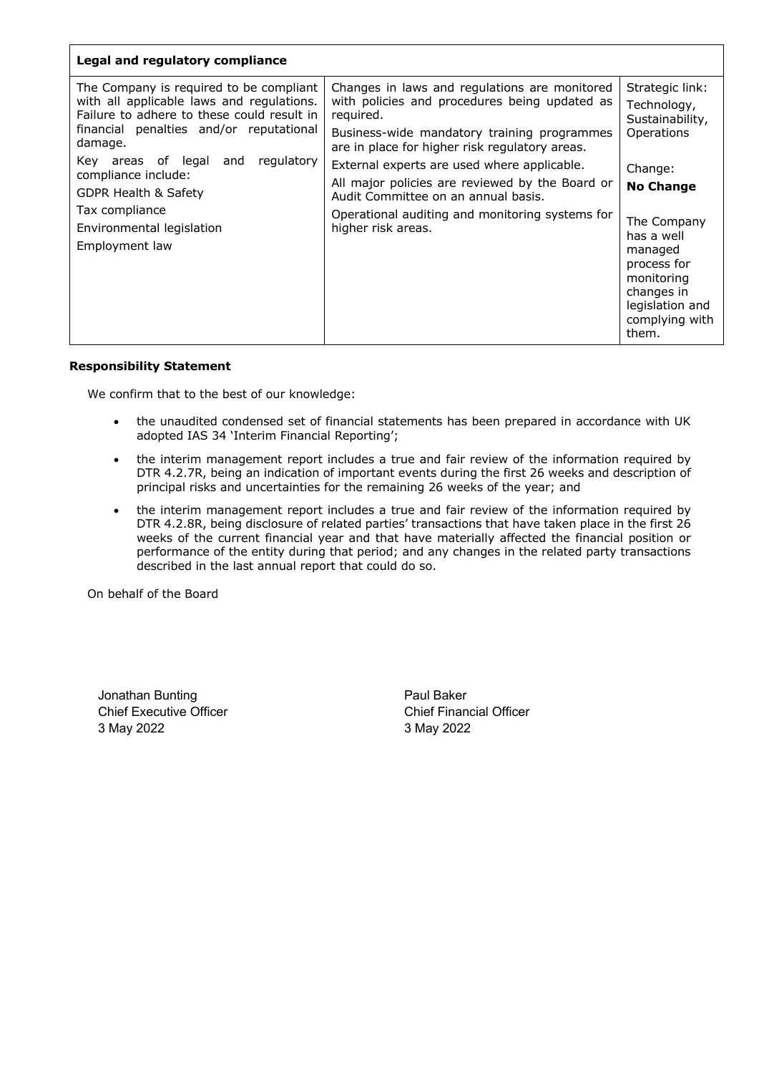| Legal and regulatory compliance                                                                                                                                                                                                                         |                                                                                                                                                                                                                                                                                                                |                                                                                                                               |  |  |  |  |  |
|---------------------------------------------------------------------------------------------------------------------------------------------------------------------------------------------------------------------------------------------------------|----------------------------------------------------------------------------------------------------------------------------------------------------------------------------------------------------------------------------------------------------------------------------------------------------------------|-------------------------------------------------------------------------------------------------------------------------------|--|--|--|--|--|
| The Company is required to be compliant<br>with all applicable laws and regulations.<br>Failure to adhere to these could result in<br>financial penalties and/or reputational<br>damage.<br>Key areas of legal and<br>regulatory<br>compliance include: | Changes in laws and regulations are monitored<br>with policies and procedures being updated as<br>reguired.<br>Business-wide mandatory training programmes<br>are in place for higher risk regulatory areas.<br>External experts are used where applicable.<br>All major policies are reviewed by the Board or | Strategic link:<br>Technology,<br>Sustainability,<br>Operations<br>Change:<br><b>No Change</b>                                |  |  |  |  |  |
| GDPR Health & Safety<br>Tax compliance<br>Environmental legislation<br>Employment law                                                                                                                                                                   | Audit Committee on an annual basis.<br>Operational auditing and monitoring systems for<br>higher risk areas.                                                                                                                                                                                                   | The Company<br>has a well<br>managed<br>process for<br>monitoring<br>changes in<br>legislation and<br>complying with<br>them. |  |  |  |  |  |

# **Responsibility Statement**

We confirm that to the best of our knowledge:

- the unaudited condensed set of financial statements has been prepared in accordance with UK adopted IAS 34 'Interim Financial Reporting';
- the interim management report includes a true and fair review of the information required by DTR 4.2.7R, being an indication of important events during the first 26 weeks and description of principal risks and uncertainties for the remaining 26 weeks of the year; and
- the interim management report includes a true and fair review of the information required by DTR 4.2.8R, being disclosure of related parties' transactions that have taken place in the first 26 weeks of the current financial year and that have materially affected the financial position or performance of the entity during that period; and any changes in the related party transactions described in the last annual report that could do so.

On behalf of the Board

Jonathan Bunting **Paul Baker** Paul Baker Chief Executive Officer Chief Financial Officer 3 May 2022 3 May 2022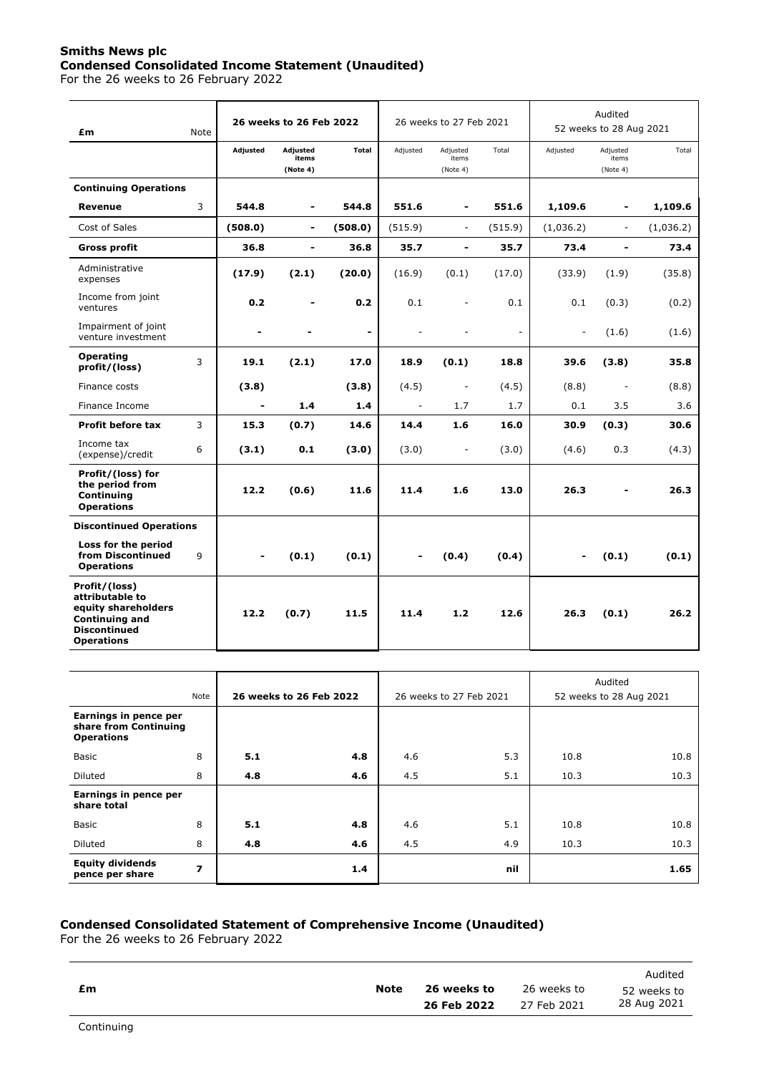# **Smiths News plc Condensed Consolidated Income Statement (Unaudited)**

For the 26 weeks to 26 February 2022

| £m                                                                                                                           | <b>Note</b> | 26 weeks to 26 Feb 2022      |                               |                          | 26 weeks to 27 Feb 2021 |                               |                          | Audited<br>52 weeks to 28 Aug 2021 |                               |           |
|------------------------------------------------------------------------------------------------------------------------------|-------------|------------------------------|-------------------------------|--------------------------|-------------------------|-------------------------------|--------------------------|------------------------------------|-------------------------------|-----------|
|                                                                                                                              |             | Adjusted                     | Adjusted<br>items<br>(Note 4) | <b>Total</b>             | Adjusted                | Adjusted<br>items<br>(Note 4) | Total                    | Adjusted                           | Adjusted<br>items<br>(Note 4) | Total     |
| <b>Continuing Operations</b>                                                                                                 |             |                              |                               |                          |                         |                               |                          |                                    |                               |           |
| <b>Revenue</b>                                                                                                               | 3           | 544.8                        | -                             | 544.8                    | 551.6                   | $\blacksquare$                | 551.6                    | 1,109.6                            | $\qquad \qquad \blacksquare$  | 1,109.6   |
| Cost of Sales                                                                                                                |             | (508.0)                      | $\overline{\phantom{a}}$      | (508.0)                  | (515.9)                 | $\blacksquare$                | (515.9)                  | (1,036.2)                          | $\blacksquare$                | (1,036.2) |
| <b>Gross profit</b>                                                                                                          |             | 36.8                         | $\overline{\phantom{0}}$      | 36.8                     | 35.7                    | $\overline{\phantom{a}}$      | 35.7                     | 73.4                               | $\qquad \qquad \blacksquare$  | 73.4      |
| Administrative<br>expenses                                                                                                   |             | (17.9)                       | (2.1)                         | (20.0)                   | (16.9)                  | (0.1)                         | (17.0)                   | (33.9)                             | (1.9)                         | (35.8)    |
| Income from joint<br>ventures                                                                                                |             | 0.2                          | $\blacksquare$                | 0.2                      | 0.1                     | $\sim$                        | 0.1                      | 0.1                                | (0.3)                         | (0.2)     |
| Impairment of joint<br>venture investment                                                                                    |             | $\qquad \qquad \blacksquare$ |                               | $\overline{\phantom{a}}$ | $\sim$                  |                               | $\overline{\phantom{a}}$ | $\overline{\phantom{m}}$           | (1.6)                         | (1.6)     |
| <b>Operating</b><br>profit/(loss)                                                                                            | 3           | 19.1                         | (2.1)                         | 17.0                     | 18.9                    | (0.1)                         | 18.8                     | 39.6                               | (3.8)                         | 35.8      |
| Finance costs                                                                                                                |             | (3.8)                        |                               | (3.8)                    | (4.5)                   | $\overline{\phantom{a}}$      | (4.5)                    | (8.8)                              | $\overline{\phantom{a}}$      | (8.8)     |
| Finance Income                                                                                                               |             |                              | 1.4                           | 1.4                      | $\sim$                  | 1.7                           | 1.7                      | 0.1                                | 3.5                           | 3.6       |
| Profit before tax                                                                                                            | 3           | 15.3                         | (0.7)                         | 14.6                     | 14.4                    | 1.6                           | 16.0                     | 30.9                               | (0.3)                         | 30.6      |
| Income tax<br>(expense)/credit                                                                                               | 6           | (3.1)                        | 0.1                           | (3.0)                    | (3.0)                   | $\blacksquare$                | (3.0)                    | (4.6)                              | 0.3                           | (4.3)     |
| Profit/(loss) for<br>the period from<br>Continuing<br><b>Operations</b>                                                      |             | 12.2                         | (0.6)                         | 11.6                     | 11.4                    | 1.6                           | 13.0                     | 26.3                               |                               | 26.3      |
| <b>Discontinued Operations</b>                                                                                               |             |                              |                               |                          |                         |                               |                          |                                    |                               |           |
| Loss for the period<br>from Discontinued<br><b>Operations</b>                                                                | 9           |                              | (0.1)                         | (0.1)                    |                         | (0.4)                         | (0.4)                    |                                    | (0.1)                         | (0.1)     |
| Profit/(loss)<br>attributable to<br>equity shareholders<br><b>Continuing and</b><br><b>Discontinued</b><br><b>Operations</b> |             | 12.2                         | (0.7)                         | 11.5                     | 11.4                    | 1.2                           | 12.6                     | 26.3                               | (0.1)                         | 26.2      |

|                                                                     |                         |                         |     |                         |     | Audited                 |      |
|---------------------------------------------------------------------|-------------------------|-------------------------|-----|-------------------------|-----|-------------------------|------|
|                                                                     | Note                    | 26 weeks to 26 Feb 2022 |     | 26 weeks to 27 Feb 2021 |     | 52 weeks to 28 Aug 2021 |      |
| Earnings in pence per<br>share from Continuing<br><b>Operations</b> |                         |                         |     |                         |     |                         |      |
| <b>Basic</b>                                                        | 8                       | 5.1                     | 4.8 | 4.6                     | 5.3 | 10.8                    | 10.8 |
| Diluted                                                             | 8                       | 4.8                     | 4.6 | 4.5                     | 5.1 | 10.3                    | 10.3 |
| Earnings in pence per<br>share total                                |                         |                         |     |                         |     |                         |      |
| Basic                                                               | 8                       | 5.1                     | 4.8 | 4.6                     | 5.1 | 10.8                    | 10.8 |
| Diluted                                                             | 8                       | 4.8                     | 4.6 | 4.5                     | 4.9 | 10.3                    | 10.3 |
| <b>Equity dividends</b><br>pence per share                          | $\overline{\mathbf{z}}$ |                         | 1.4 |                         | nil |                         | 1.65 |

# **Condensed Consolidated Statement of Comprehensive Income (Unaudited)**

For the 26 weeks to 26 February 2022

|    |             |             |             | Audited     |
|----|-------------|-------------|-------------|-------------|
| £m | <b>Note</b> | 26 weeks to | 26 weeks to | 52 weeks to |
|    |             | 26 Feb 2022 | 27 Feb 2021 | 28 Aug 2021 |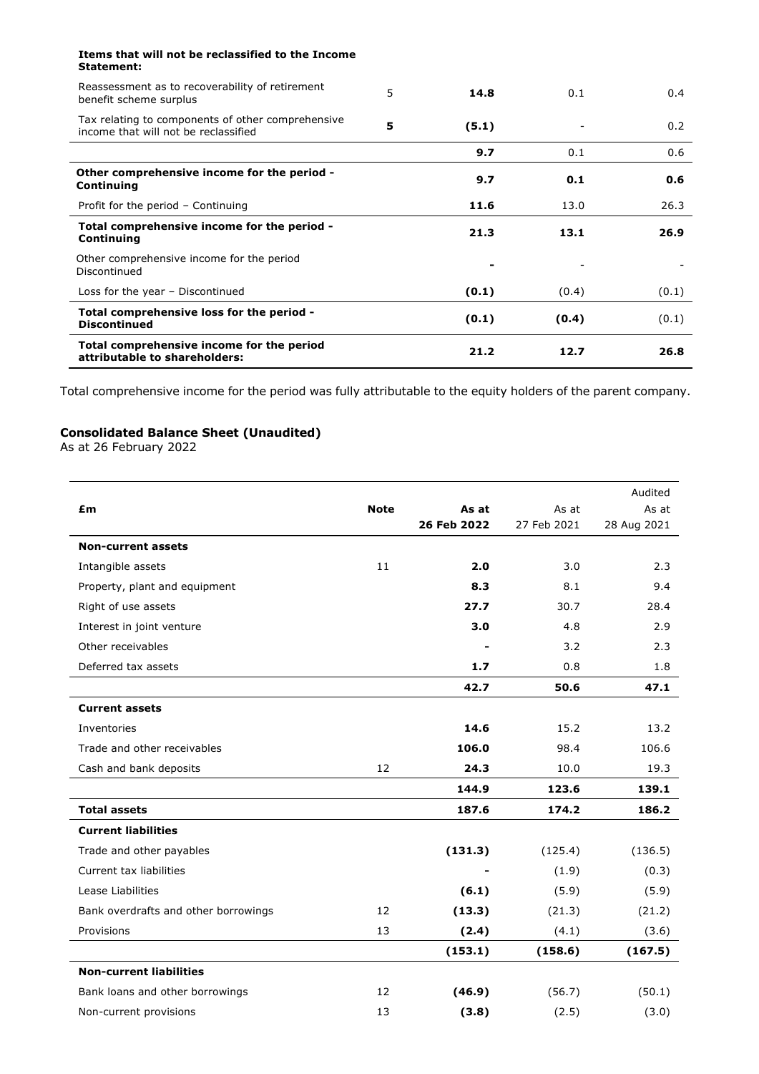| Items that will not be reclassified to the Income<br>Statement:                           |   |       |       |       |
|-------------------------------------------------------------------------------------------|---|-------|-------|-------|
| Reassessment as to recoverability of retirement<br>benefit scheme surplus                 | 5 | 14.8  | 0.1   | 0.4   |
| Tax relating to components of other comprehensive<br>income that will not be reclassified | 5 | (5.1) |       | 0.2   |
|                                                                                           |   | 9.7   | 0.1   | 0.6   |
| Other comprehensive income for the period -<br>Continuing                                 |   | 9.7   | 0.1   | 0.6   |
| Profit for the period - Continuing                                                        |   | 11.6  | 13.0  | 26.3  |
| Total comprehensive income for the period -<br>Continuing                                 |   | 21.3  | 13.1  | 26.9  |
| Other comprehensive income for the period<br>Discontinued                                 |   |       |       |       |
| Loss for the year - Discontinued                                                          |   | (0.1) | (0.4) | (0.1) |
| Total comprehensive loss for the period -<br><b>Discontinued</b>                          |   | (0.1) | (0.4) | (0.1) |
| Total comprehensive income for the period<br>attributable to shareholders:                |   | 21.2  | 12.7  | 26.8  |

Total comprehensive income for the period was fully attributable to the equity holders of the parent company.

# **Consolidated Balance Sheet (Unaudited)**

As at 26 February 2022

|                                      |             |             |             | Audited     |
|--------------------------------------|-------------|-------------|-------------|-------------|
| £m                                   | <b>Note</b> | As at       | As at       | As at       |
|                                      |             | 26 Feb 2022 | 27 Feb 2021 | 28 Aug 2021 |
| <b>Non-current assets</b>            |             |             |             |             |
| Intangible assets                    | 11          | 2.0         | 3.0         | 2.3         |
| Property, plant and equipment        |             | 8.3         | 8.1         | 9.4         |
| Right of use assets                  |             | 27.7        | 30.7        | 28.4        |
| Interest in joint venture            |             | 3.0         | 4.8         | 2.9         |
| Other receivables                    |             |             | 3.2         | 2.3         |
| Deferred tax assets                  |             | 1.7         | 0.8         | 1.8         |
|                                      |             | 42.7        | 50.6        | 47.1        |
| <b>Current assets</b>                |             |             |             |             |
| Inventories                          |             | 14.6        | 15.2        | 13.2        |
| Trade and other receivables          |             | 106.0       | 98.4        | 106.6       |
| Cash and bank deposits               | 12          | 24.3        | 10.0        | 19.3        |
|                                      |             | 144.9       | 123.6       | 139.1       |
| <b>Total assets</b>                  |             | 187.6       | 174.2       | 186.2       |
| <b>Current liabilities</b>           |             |             |             |             |
| Trade and other payables             |             | (131.3)     | (125.4)     | (136.5)     |
| Current tax liabilities              |             |             | (1.9)       | (0.3)       |
| Lease Liabilities                    |             | (6.1)       | (5.9)       | (5.9)       |
| Bank overdrafts and other borrowings | 12          | (13.3)      | (21.3)      | (21.2)      |
| Provisions                           | 13          | (2.4)       | (4.1)       | (3.6)       |
|                                      |             | (153.1)     | (158.6)     | (167.5)     |
| <b>Non-current liabilities</b>       |             |             |             |             |
| Bank loans and other borrowings      | 12          | (46.9)      | (56.7)      | (50.1)      |
| Non-current provisions               | 13          | (3.8)       | (2.5)       | (3.0)       |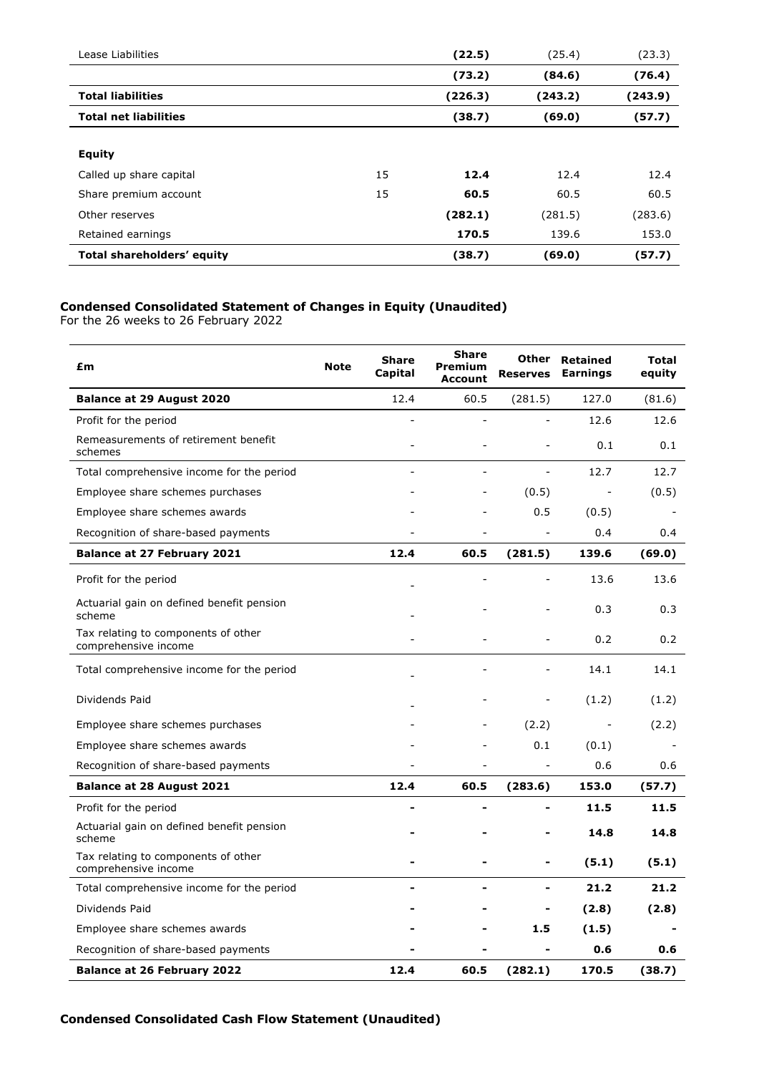| Lease Liabilities            |    | (22.5)  | (25.4)  | (23.3)  |
|------------------------------|----|---------|---------|---------|
|                              |    | (73.2)  | (84.6)  | (76.4)  |
| <b>Total liabilities</b>     |    | (226.3) | (243.2) | (243.9) |
| <b>Total net liabilities</b> |    | (38.7)  | (69.0)  | (57.7)  |
|                              |    |         |         |         |
| <b>Equity</b>                |    |         |         |         |
| Called up share capital      | 15 | 12.4    | 12.4    | 12.4    |
| Share premium account        | 15 | 60.5    | 60.5    | 60.5    |
| Other reserves               |    | (282.1) | (281.5) | (283.6) |
| Retained earnings            |    | 170.5   | 139.6   | 153.0   |
| Total shareholders' equity   |    | (38.7)  | (69.0)  | (57.7)  |

# **Condensed Consolidated Statement of Changes in Equity (Unaudited)**

For the 26 weeks to 26 February 2022

| £m                                                          | <b>Note</b> | <b>Share</b><br>Capital | <b>Share</b><br>Premium<br><b>Account</b> | <b>Other</b><br><b>Reserves</b> | <b>Retained</b><br><b>Earnings</b> | Total<br>equity |
|-------------------------------------------------------------|-------------|-------------------------|-------------------------------------------|---------------------------------|------------------------------------|-----------------|
| <b>Balance at 29 August 2020</b>                            |             | 12.4                    | 60.5                                      | (281.5)                         | 127.0                              | (81.6)          |
| Profit for the period                                       |             |                         |                                           |                                 | 12.6                               | 12.6            |
| Remeasurements of retirement benefit<br>schemes             |             |                         |                                           |                                 | 0.1                                | 0.1             |
| Total comprehensive income for the period                   |             |                         |                                           |                                 | 12.7                               | 12.7            |
| Employee share schemes purchases                            |             |                         |                                           | (0.5)                           | $\overline{\phantom{a}}$           | (0.5)           |
| Employee share schemes awards                               |             |                         |                                           | 0.5                             | (0.5)                              |                 |
| Recognition of share-based payments                         |             |                         |                                           |                                 | 0.4                                | 0.4             |
| <b>Balance at 27 February 2021</b>                          |             | 12.4                    | 60.5                                      | (281.5)                         | 139.6                              | (69.0)          |
| Profit for the period                                       |             |                         |                                           |                                 | 13.6                               | 13.6            |
| Actuarial gain on defined benefit pension<br>scheme         |             |                         |                                           |                                 | 0.3                                | 0.3             |
| Tax relating to components of other<br>comprehensive income |             |                         |                                           |                                 | 0.2                                | 0.2             |
| Total comprehensive income for the period                   |             |                         |                                           |                                 | 14.1                               | 14.1            |
| Dividends Paid                                              |             |                         |                                           |                                 | (1.2)                              | (1.2)           |
| Employee share schemes purchases                            |             |                         |                                           | (2.2)                           |                                    | (2.2)           |
| Employee share schemes awards                               |             |                         |                                           | 0.1                             | (0.1)                              |                 |
| Recognition of share-based payments                         |             |                         |                                           |                                 | 0.6                                | 0.6             |
| <b>Balance at 28 August 2021</b>                            |             | 12.4                    | 60.5                                      | (283.6)                         | 153.0                              | (57.7)          |
| Profit for the period                                       |             |                         |                                           |                                 | 11.5                               | 11.5            |
| Actuarial gain on defined benefit pension<br>scheme         |             |                         |                                           |                                 | 14.8                               | 14.8            |
| Tax relating to components of other<br>comprehensive income |             |                         |                                           |                                 | (5.1)                              | (5.1)           |
| Total comprehensive income for the period                   |             |                         |                                           |                                 | 21.2                               | 21.2            |
| Dividends Paid                                              |             |                         |                                           |                                 | (2.8)                              | (2.8)           |
| Employee share schemes awards                               |             |                         |                                           | 1.5                             | (1.5)                              |                 |
| Recognition of share-based payments                         |             |                         |                                           |                                 | 0.6                                | 0.6             |
| <b>Balance at 26 February 2022</b>                          |             | 12.4                    | 60.5                                      | (282.1)                         | 170.5                              | (38.7)          |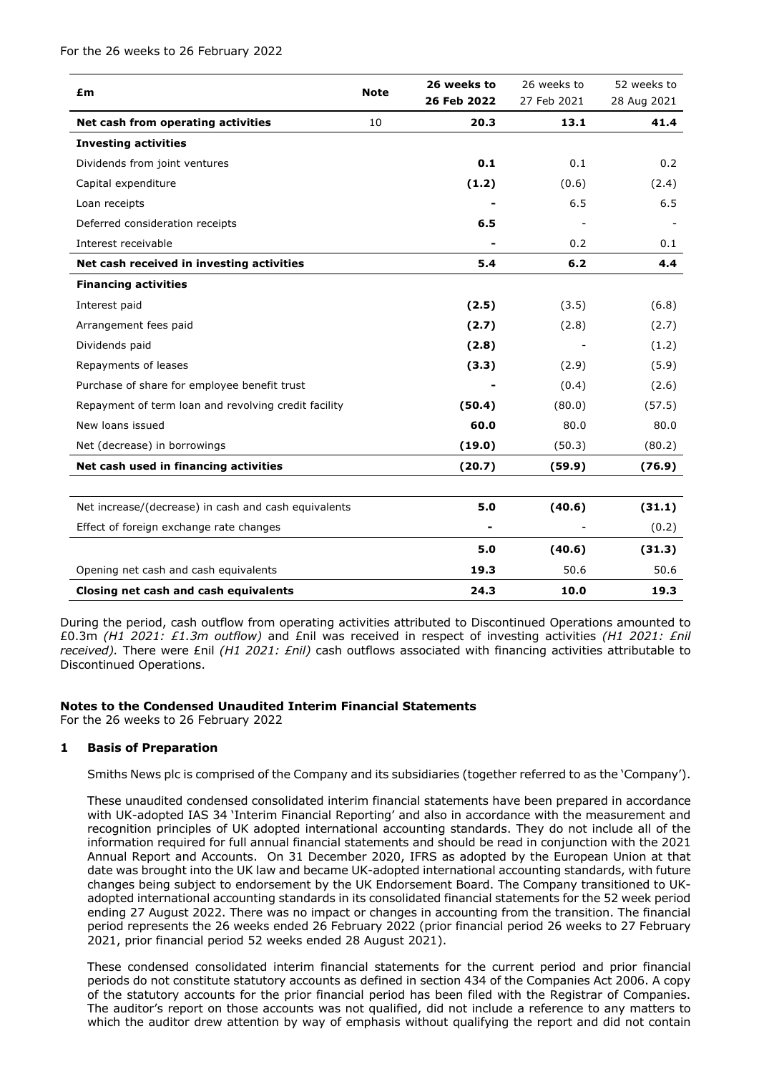| £m                                                   | <b>Note</b> | 26 weeks to | 26 weeks to | 52 weeks to |
|------------------------------------------------------|-------------|-------------|-------------|-------------|
|                                                      |             | 26 Feb 2022 | 27 Feb 2021 | 28 Aug 2021 |
| Net cash from operating activities                   | 10          | 20.3        | 13.1        | 41.4        |
| <b>Investing activities</b>                          |             |             |             |             |
| Dividends from joint ventures                        |             | 0.1         | 0.1         | 0.2         |
| Capital expenditure                                  |             | (1.2)       | (0.6)       | (2.4)       |
| Loan receipts                                        |             |             | 6.5         | 6.5         |
| Deferred consideration receipts                      |             | 6.5         |             |             |
| Interest receivable                                  |             |             | 0.2         | 0.1         |
| Net cash received in investing activities            |             | 5.4         | 6.2         | 4.4         |
| <b>Financing activities</b>                          |             |             |             |             |
| Interest paid                                        |             | (2.5)       | (3.5)       | (6.8)       |
| Arrangement fees paid                                |             | (2.7)       | (2.8)       | (2.7)       |
| Dividends paid                                       |             | (2.8)       |             | (1.2)       |
| Repayments of leases                                 |             | (3.3)       | (2.9)       | (5.9)       |
| Purchase of share for employee benefit trust         |             |             | (0.4)       | (2.6)       |
| Repayment of term loan and revolving credit facility |             | (50.4)      | (80.0)      | (57.5)      |
| New loans issued                                     |             | 60.0        | 80.0        | 80.0        |
| Net (decrease) in borrowings                         |             | (19.0)      | (50.3)      | (80.2)      |
| Net cash used in financing activities                |             | (20.7)      | (59.9)      | (76.9)      |
|                                                      |             |             |             |             |
| Net increase/(decrease) in cash and cash equivalents |             | 5.0         | (40.6)      | (31.1)      |
| Effect of foreign exchange rate changes              |             | -           |             | (0.2)       |
|                                                      |             | 5.0         | (40.6)      | (31.3)      |
| Opening net cash and cash equivalents                |             | 19.3        | 50.6        | 50.6        |
| Closing net cash and cash equivalents                |             | 24.3        | 10.0        | 19.3        |

During the period, cash outflow from operating activities attributed to Discontinued Operations amounted to £0.3m *(H1 2021: £1.3m outflow)* and £nil was received in respect of investing activities *(H1 2021: £nil received).* There were £nil *(H1 2021: £nil)* cash outflows associated with financing activities attributable to Discontinued Operations.

# **Notes to the Condensed Unaudited Interim Financial Statements**

For the 26 weeks to 26 February 2022

# **1 Basis of Preparation**

Smiths News plc is comprised of the Company and its subsidiaries (together referred to as the 'Company').

These unaudited condensed consolidated interim financial statements have been prepared in accordance with UK-adopted IAS 34 'Interim Financial Reporting' and also in accordance with the measurement and recognition principles of UK adopted international accounting standards. They do not include all of the information required for full annual financial statements and should be read in conjunction with the 2021 Annual Report and Accounts. On 31 December 2020, IFRS as adopted by the European Union at that date was brought into the UK law and became UK-adopted international accounting standards, with future changes being subject to endorsement by the UK Endorsement Board. The Company transitioned to UKadopted international accounting standards in its consolidated financial statements for the 52 week period ending 27 August 2022. There was no impact or changes in accounting from the transition. The financial period represents the 26 weeks ended 26 February 2022 (prior financial period 26 weeks to 27 February 2021, prior financial period 52 weeks ended 28 August 2021).

These condensed consolidated interim financial statements for the current period and prior financial periods do not constitute statutory accounts as defined in section 434 of the Companies Act 2006. A copy of the statutory accounts for the prior financial period has been filed with the Registrar of Companies. The auditor's report on those accounts was not qualified, did not include a reference to any matters to which the auditor drew attention by way of emphasis without qualifying the report and did not contain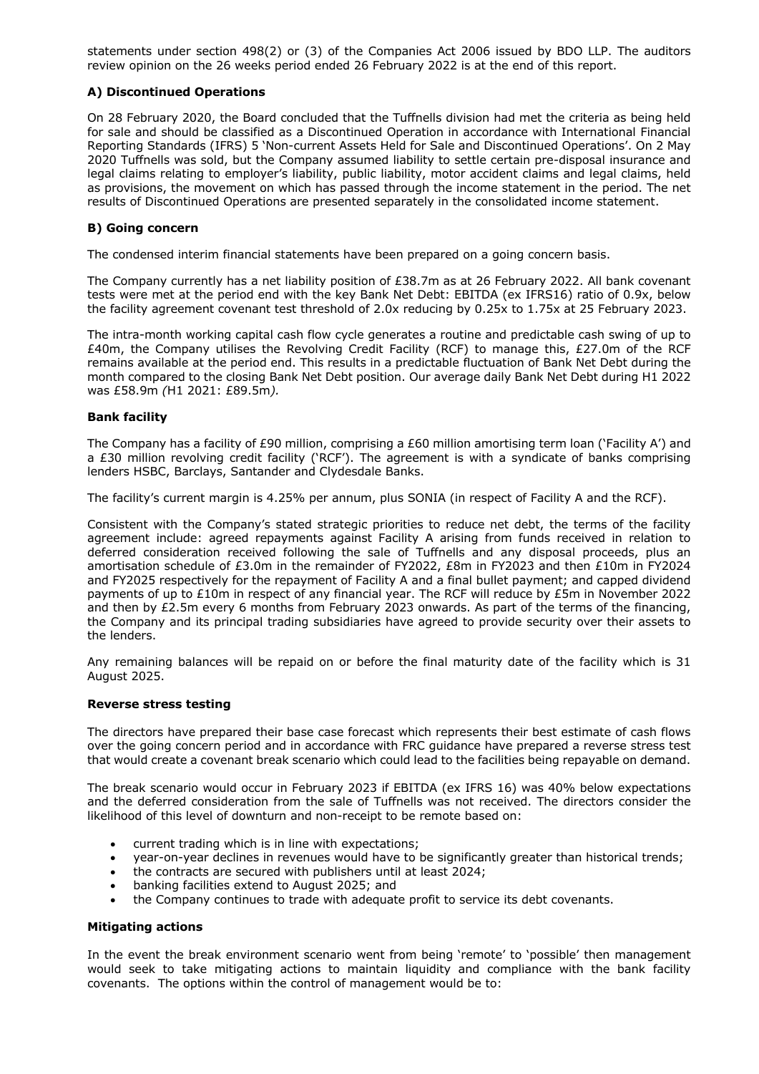statements under section 498(2) or (3) of the Companies Act 2006 issued by BDO LLP. The auditors review opinion on the 26 weeks period ended 26 February 2022 is at the end of this report.

# **A) Discontinued Operations**

On 28 February 2020, the Board concluded that the Tuffnells division had met the criteria as being held for sale and should be classified as a Discontinued Operation in accordance with International Financial Reporting Standards (IFRS) 5 'Non-current Assets Held for Sale and Discontinued Operations'. On 2 May 2020 Tuffnells was sold, but the Company assumed liability to settle certain pre-disposal insurance and legal claims relating to employer's liability, public liability, motor accident claims and legal claims, held as provisions, the movement on which has passed through the income statement in the period. The net results of Discontinued Operations are presented separately in the consolidated income statement.

# **B) Going concern**

The condensed interim financial statements have been prepared on a going concern basis.

The Company currently has a net liability position of £38.7m as at 26 February 2022. All bank covenant tests were met at the period end with the key Bank Net Debt: EBITDA (ex IFRS16) ratio of 0.9x, below the facility agreement covenant test threshold of 2.0x reducing by 0.25x to 1.75x at 25 February 2023.

The intra-month working capital cash flow cycle generates a routine and predictable cash swing of up to £40m, the Company utilises the Revolving Credit Facility (RCF) to manage this, £27.0m of the RCF remains available at the period end. This results in a predictable fluctuation of Bank Net Debt during the month compared to the closing Bank Net Debt position. Our average daily Bank Net Debt during H1 2022 was £58.9m *(*H1 2021: £89.5m*).*

# **Bank facility**

The Company has a facility of £90 million, comprising a £60 million amortising term loan ('Facility A') and a £30 million revolving credit facility ('RCF'). The agreement is with a syndicate of banks comprising lenders HSBC, Barclays, Santander and Clydesdale Banks.

The facility's current margin is 4.25% per annum, plus SONIA (in respect of Facility A and the RCF).

Consistent with the Company's stated strategic priorities to reduce net debt, the terms of the facility agreement include: agreed repayments against Facility A arising from funds received in relation to deferred consideration received following the sale of Tuffnells and any disposal proceeds, plus an amortisation schedule of £3.0m in the remainder of FY2022, £8m in FY2023 and then £10m in FY2024 and FY2025 respectively for the repayment of Facility A and a final bullet payment; and capped dividend payments of up to £10m in respect of any financial year. The RCF will reduce by £5m in November 2022 and then by £2.5m every 6 months from February 2023 onwards. As part of the terms of the financing, the Company and its principal trading subsidiaries have agreed to provide security over their assets to the lenders.

Any remaining balances will be repaid on or before the final maturity date of the facility which is 31 August 2025.

# **Reverse stress testing**

The directors have prepared their base case forecast which represents their best estimate of cash flows over the going concern period and in accordance with FRC guidance have prepared a reverse stress test that would create a covenant break scenario which could lead to the facilities being repayable on demand.

The break scenario would occur in February 2023 if EBITDA (ex IFRS 16) was 40% below expectations and the deferred consideration from the sale of Tuffnells was not received. The directors consider the likelihood of this level of downturn and non-receipt to be remote based on:

- current trading which is in line with expectations;
- year-on-year declines in revenues would have to be significantly greater than historical trends;
- the contracts are secured with publishers until at least 2024;
- banking facilities extend to August 2025; and
- the Company continues to trade with adequate profit to service its debt covenants.

# **Mitigating actions**

In the event the break environment scenario went from being 'remote' to 'possible' then management would seek to take mitigating actions to maintain liquidity and compliance with the bank facility covenants. The options within the control of management would be to: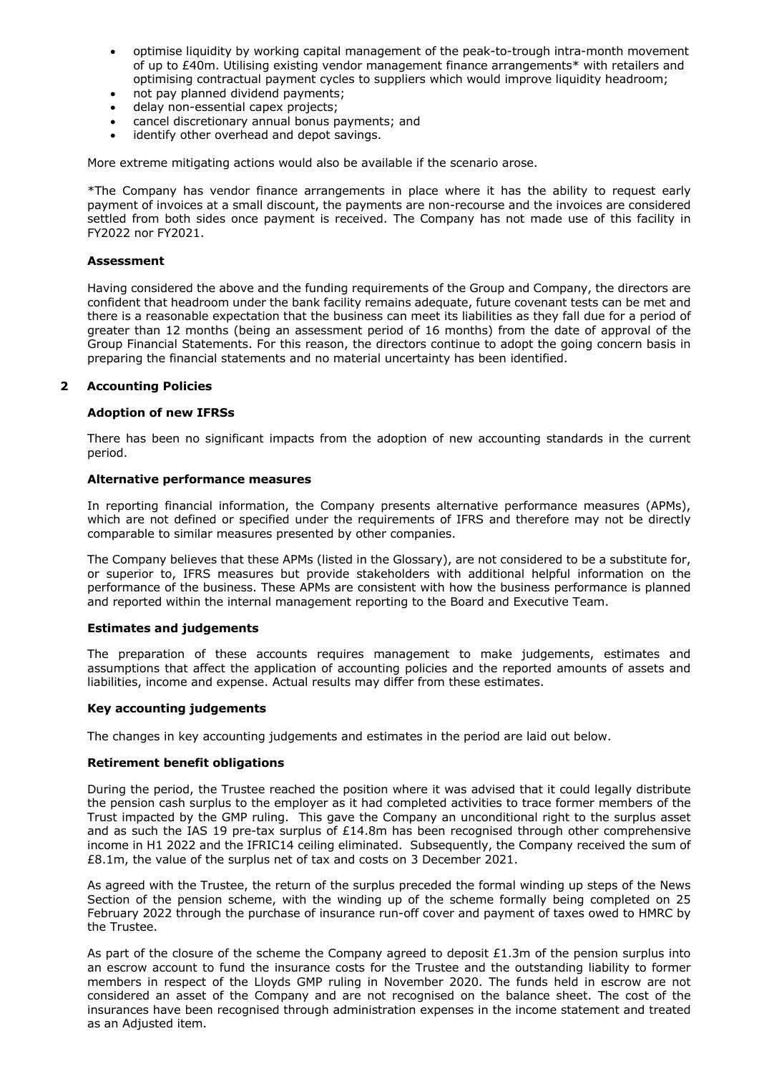- optimise liquidity by working capital management of the peak-to-trough intra-month movement of up to £40m. Utilising existing vendor management finance arrangements\* with retailers and optimising contractual payment cycles to suppliers which would improve liquidity headroom;
- not pay planned dividend payments:
- delay non-essential capex projects;
- cancel discretionary annual bonus payments; and
- identify other overhead and depot savings.

More extreme mitigating actions would also be available if the scenario arose.

\*The Company has vendor finance arrangements in place where it has the ability to request early payment of invoices at a small discount, the payments are non-recourse and the invoices are considered settled from both sides once payment is received. The Company has not made use of this facility in FY2022 nor FY2021.

## **Assessment**

Having considered the above and the funding requirements of the Group and Company, the directors are confident that headroom under the bank facility remains adequate, future covenant tests can be met and there is a reasonable expectation that the business can meet its liabilities as they fall due for a period of greater than 12 months (being an assessment period of 16 months) from the date of approval of the Group Financial Statements. For this reason, the directors continue to adopt the going concern basis in preparing the financial statements and no material uncertainty has been identified.

# **2 Accounting Policies**

# **Adoption of new IFRSs**

There has been no significant impacts from the adoption of new accounting standards in the current period.

## **Alternative performance measures**

In reporting financial information, the Company presents alternative performance measures (APMs), which are not defined or specified under the requirements of IFRS and therefore may not be directly comparable to similar measures presented by other companies.

The Company believes that these APMs (listed in the Glossary), are not considered to be a substitute for, or superior to, IFRS measures but provide stakeholders with additional helpful information on the performance of the business. These APMs are consistent with how the business performance is planned and reported within the internal management reporting to the Board and Executive Team.

# **Estimates and judgements**

The preparation of these accounts requires management to make judgements, estimates and assumptions that affect the application of accounting policies and the reported amounts of assets and liabilities, income and expense. Actual results may differ from these estimates.

# **Key accounting judgements**

The changes in key accounting judgements and estimates in the period are laid out below.

#### **Retirement benefit obligations**

During the period, the Trustee reached the position where it was advised that it could legally distribute the pension cash surplus to the employer as it had completed activities to trace former members of the Trust impacted by the GMP ruling. This gave the Company an unconditional right to the surplus asset and as such the IAS 19 pre-tax surplus of £14.8m has been recognised through other comprehensive income in H1 2022 and the IFRIC14 ceiling eliminated. Subsequently, the Company received the sum of £8.1m, the value of the surplus net of tax and costs on 3 December 2021.

As agreed with the Trustee, the return of the surplus preceded the formal winding up steps of the News Section of the pension scheme, with the winding up of the scheme formally being completed on 25 February 2022 through the purchase of insurance run-off cover and payment of taxes owed to HMRC by the Trustee.

As part of the closure of the scheme the Company agreed to deposit  $£1.3m$  of the pension surplus into an escrow account to fund the insurance costs for the Trustee and the outstanding liability to former members in respect of the Lloyds GMP ruling in November 2020. The funds held in escrow are not considered an asset of the Company and are not recognised on the balance sheet. The cost of the insurances have been recognised through administration expenses in the income statement and treated as an Adjusted item.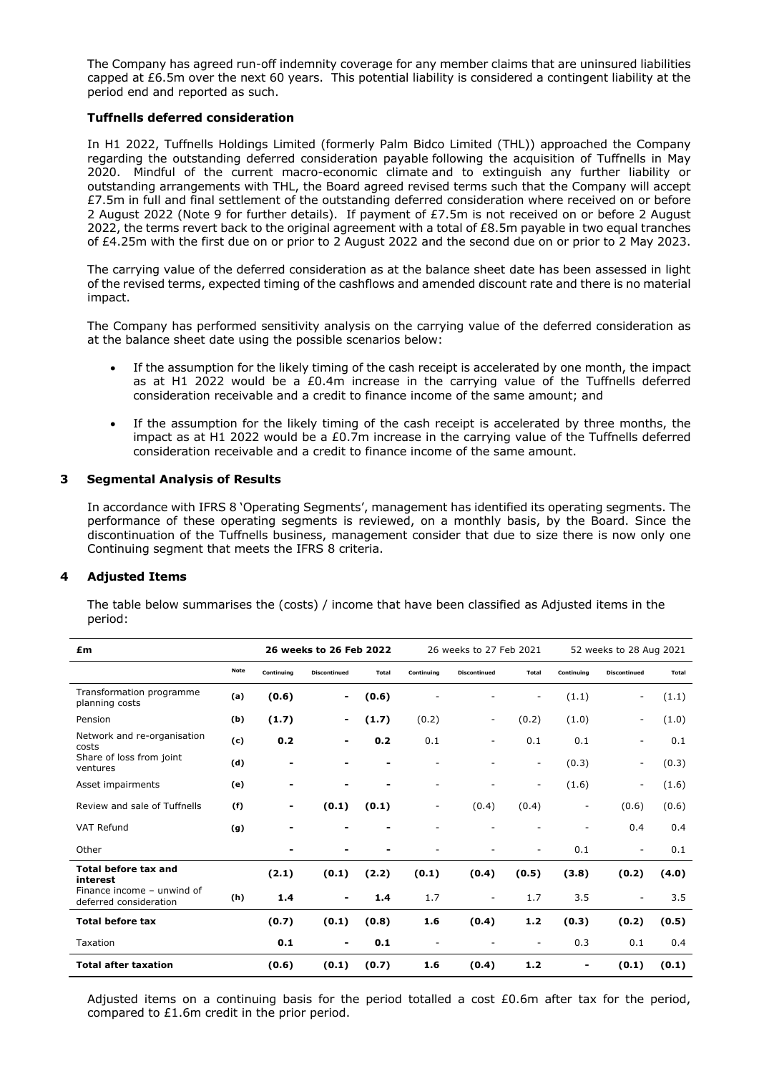The Company has agreed run-off indemnity coverage for any member claims that are uninsured liabilities capped at £6.5m over the next 60 years. This potential liability is considered a contingent liability at the period end and reported as such.

# **Tuffnells deferred consideration**

In H1 2022, Tuffnells Holdings Limited (formerly Palm Bidco Limited (THL)) approached the Company regarding the outstanding deferred consideration payable following the acquisition of Tuffnells in May 2020. Mindful of the current macro-economic climate and to extinguish any further liability or outstanding arrangements with THL, the Board agreed revised terms such that the Company will accept £7.5m in full and final settlement of the outstanding deferred consideration where received on or before 2 August 2022 (Note 9 for further details). If payment of £7.5m is not received on or before 2 August 2022, the terms revert back to the original agreement with a total of £8.5m payable in two equal tranches of £4.25m with the first due on or prior to 2 August 2022 and the second due on or prior to 2 May 2023.

The carrying value of the deferred consideration as at the balance sheet date has been assessed in light of the revised terms, expected timing of the cashflows and amended discount rate and there is no material impact.

The Company has performed sensitivity analysis on the carrying value of the deferred consideration as at the balance sheet date using the possible scenarios below:

- If the assumption for the likely timing of the cash receipt is accelerated by one month, the impact as at H1 2022 would be a £0.4m increase in the carrying value of the Tuffnells deferred consideration receivable and a credit to finance income of the same amount; and
- If the assumption for the likely timing of the cash receipt is accelerated by three months, the impact as at H1 2022 would be a £0.7m increase in the carrying value of the Tuffnells deferred consideration receivable and a credit to finance income of the same amount.

## **3 Segmental Analysis of Results**

In accordance with IFRS 8 'Operating Segments', management has identified its operating segments. The performance of these operating segments is reviewed, on a monthly basis, by the Board. Since the discontinuation of the Tuffnells business, management consider that due to size there is now only one Continuing segment that meets the IFRS 8 criteria.

# **4 Adjusted Items**

The table below summarises the (costs) / income that have been classified as Adjusted items in the period:

| £m                                                   |             | 26 weeks to 26 Feb 2022  |                          |                              |            | 26 weeks to 27 Feb 2021  |                          |            | 52 weeks to 28 Aug 2021  |              |
|------------------------------------------------------|-------------|--------------------------|--------------------------|------------------------------|------------|--------------------------|--------------------------|------------|--------------------------|--------------|
|                                                      | <b>Note</b> | Continuing               | <b>Discontinued</b>      | <b>Total</b>                 | Continuing | <b>Discontinued</b>      | <b>Total</b>             | Continuing | <b>Discontinued</b>      | <b>Total</b> |
| Transformation programme<br>planning costs           | (a)         | (0.6)                    | $\overline{\phantom{0}}$ | (0.6)                        |            |                          | -                        | (1.1)      | $\overline{\phantom{a}}$ | (1.1)        |
| Pension                                              | (b)         | (1.7)                    | $\blacksquare$           | (1.7)                        | (0.2)      | $\overline{\phantom{a}}$ | (0.2)                    | (1.0)      | $\overline{\phantom{a}}$ | (1.0)        |
| Network and re-organisation<br>costs                 | (c)         | 0.2                      | -                        | 0.2                          | 0.1        | $\overline{\phantom{a}}$ | 0.1                      | 0.1        | ٠                        | 0.1          |
| Share of loss from joint<br>ventures                 | (d)         | $\blacksquare$           |                          | $\qquad \qquad \blacksquare$ |            |                          | $\overline{\phantom{a}}$ | (0.3)      | $\overline{\phantom{a}}$ | (0.3)        |
| Asset impairments                                    | (e)         | $\overline{\phantom{0}}$ | $\overline{\phantom{0}}$ | $\qquad \qquad \blacksquare$ |            |                          | $\overline{\phantom{a}}$ | (1.6)      | $\overline{\phantom{a}}$ | (1.6)        |
| Review and sale of Tuffnells                         | (f)         |                          | (0.1)                    | (0.1)                        | ٠          | (0.4)                    | (0.4)                    | ٠          | (0.6)                    | (0.6)        |
| <b>VAT Refund</b>                                    | (g)         |                          |                          | $\blacksquare$               |            |                          |                          | ۰          | 0.4                      | 0.4          |
| Other                                                |             |                          |                          |                              |            |                          |                          | 0.1        |                          | 0.1          |
| <b>Total before tax and</b><br>interest              |             | (2.1)                    | (0.1)                    | (2.2)                        | (0.1)      | (0.4)                    | (0.5)                    | (3.8)      | (0.2)                    | (4.0)        |
| Finance income - unwind of<br>deferred consideration | (h)         | 1.4                      |                          | 1.4                          | 1.7        | ٠                        | 1.7                      | 3.5        |                          | 3.5          |
| <b>Total before tax</b>                              |             | (0.7)                    | (0.1)                    | (0.8)                        | 1.6        | (0.4)                    | $1.2$                    | (0.3)      | (0.2)                    | (0.5)        |
| Taxation                                             |             | 0.1                      | -                        | 0.1                          |            |                          | $\overline{\phantom{a}}$ | 0.3        | 0.1                      | 0.4          |
| <b>Total after taxation</b>                          |             | (0.6)                    | (0.1)                    | (0.7)                        | 1.6        | (0.4)                    | 1.2                      |            | (0.1)                    | (0.1)        |

Adjusted items on a continuing basis for the period totalled a cost  $E0.6m$  after tax for the period, compared to £1.6m credit in the prior period.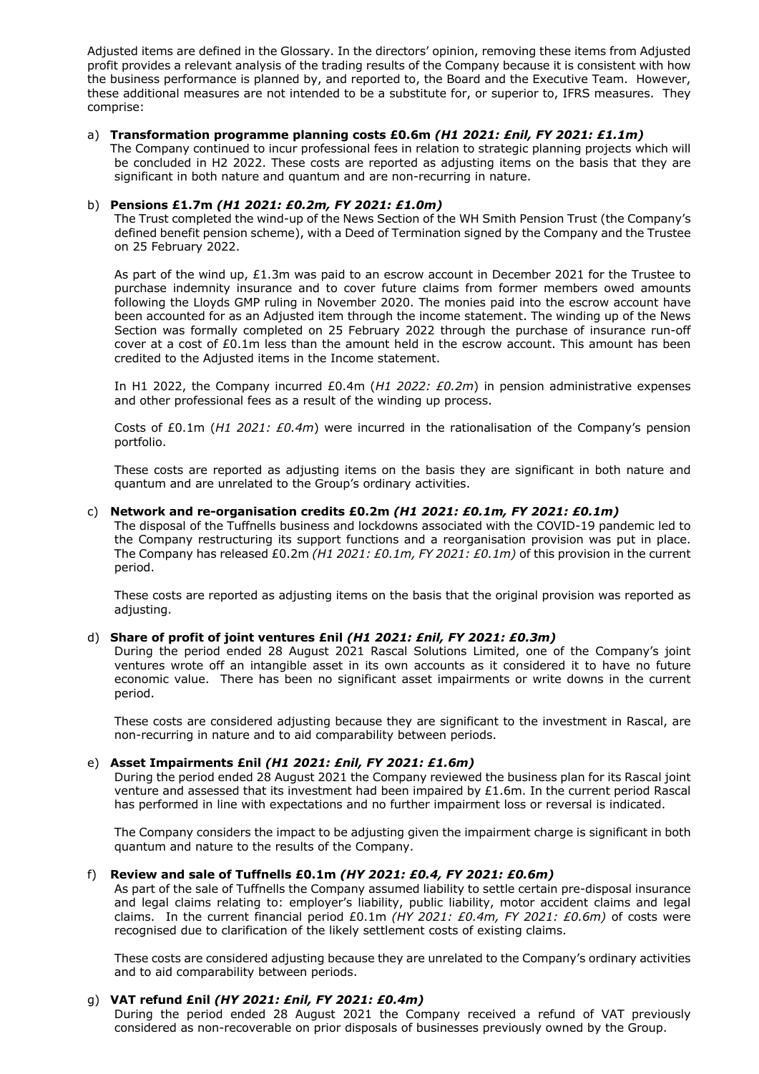Adjusted items are defined in the Glossary. In the directors' opinion, removing these items from Adjusted profit provides a relevant analysis of the trading results of the Company because it is consistent with how the business performance is planned by, and reported to, the Board and the Executive Team. However, these additional measures are not intended to be a substitute for, or superior to, IFRS measures. They comprise:

## a) **Transformation programme planning costs £0.6m** *(H1 2021: £nil, FY 2021: £1.1m)*

The Company continued to incur professional fees in relation to strategic planning projects which will be concluded in H2 2022. These costs are reported as adjusting items on the basis that they are significant in both nature and quantum and are non-recurring in nature.

## b) **Pensions £1.7m** *(H1 2021: £0.2m, FY 2021: £1.0m)*

The Trust completed the wind-up of the News Section of the WH Smith Pension Trust (the Company's defined benefit pension scheme), with a Deed of Termination signed by the Company and the Trustee on 25 February 2022.

As part of the wind up,  $£1.3m$  was paid to an escrow account in December 2021 for the Trustee to purchase indemnity insurance and to cover future claims from former members owed amounts following the Lloyds GMP ruling in November 2020. The monies paid into the escrow account have been accounted for as an Adjusted item through the income statement. The winding up of the News Section was formally completed on 25 February 2022 through the purchase of insurance run-off cover at a cost of £0.1m less than the amount held in the escrow account. This amount has been credited to the Adjusted items in the Income statement.

In H1 2022, the Company incurred £0.4m (*H1 2022: £0.2m*) in pension administrative expenses and other professional fees as a result of the winding up process.

Costs of £0.1m (*H1 2021: £0.4m*) were incurred in the rationalisation of the Company's pension portfolio.

These costs are reported as adjusting items on the basis they are significant in both nature and quantum and are unrelated to the Group's ordinary activities.

# c) **Network and re-organisation credits £0.2m** *(H1 2021: £0.1m, FY 2021: £0.1m)*

The disposal of the Tuffnells business and lockdowns associated with the COVID-19 pandemic led to the Company restructuring its support functions and a reorganisation provision was put in place. The Company has released £0.2m *(H1 2021: £0.1m, FY 2021: £0.1m)* of this provision in the current period.

These costs are reported as adjusting items on the basis that the original provision was reported as adjusting.

# d) **Share of profit of joint ventures £nil** *(H1 2021: £nil, FY 2021: £0.3m)*

During the period ended 28 August 2021 Rascal Solutions Limited, one of the Company's joint ventures wrote off an intangible asset in its own accounts as it considered it to have no future economic value. There has been no significant asset impairments or write downs in the current period.

These costs are considered adjusting because they are significant to the investment in Rascal, are non-recurring in nature and to aid comparability between periods.

# e) **Asset Impairments £nil** *(H1 2021: £nil, FY 2021: £1.6m)*

During the period ended 28 August 2021 the Company reviewed the business plan for its Rascal joint venture and assessed that its investment had been impaired by  $£1.6m$ . In the current period Rascal has performed in line with expectations and no further impairment loss or reversal is indicated.

The Company considers the impact to be adjusting given the impairment charge is significant in both quantum and nature to the results of the Company.

# f) **Review and sale of Tuffnells £0.1m** *(HY 2021: £0.4, FY 2021: £0.6m)*

As part of the sale of Tuffnells the Company assumed liability to settle certain pre-disposal insurance and legal claims relating to: employer's liability, public liability, motor accident claims and legal claims. In the current financial period £0.1m *(HY 2021: £0.4m, FY 2021: £0.6m)* of costs were recognised due to clarification of the likely settlement costs of existing claims.

These costs are considered adjusting because they are unrelated to the Company's ordinary activities and to aid comparability between periods.

## g) **VAT refund £nil** *(HY 2021: £nil, FY 2021: £0.4m)*

During the period ended 28 August 2021 the Company received a refund of VAT previously considered as non-recoverable on prior disposals of businesses previously owned by the Group.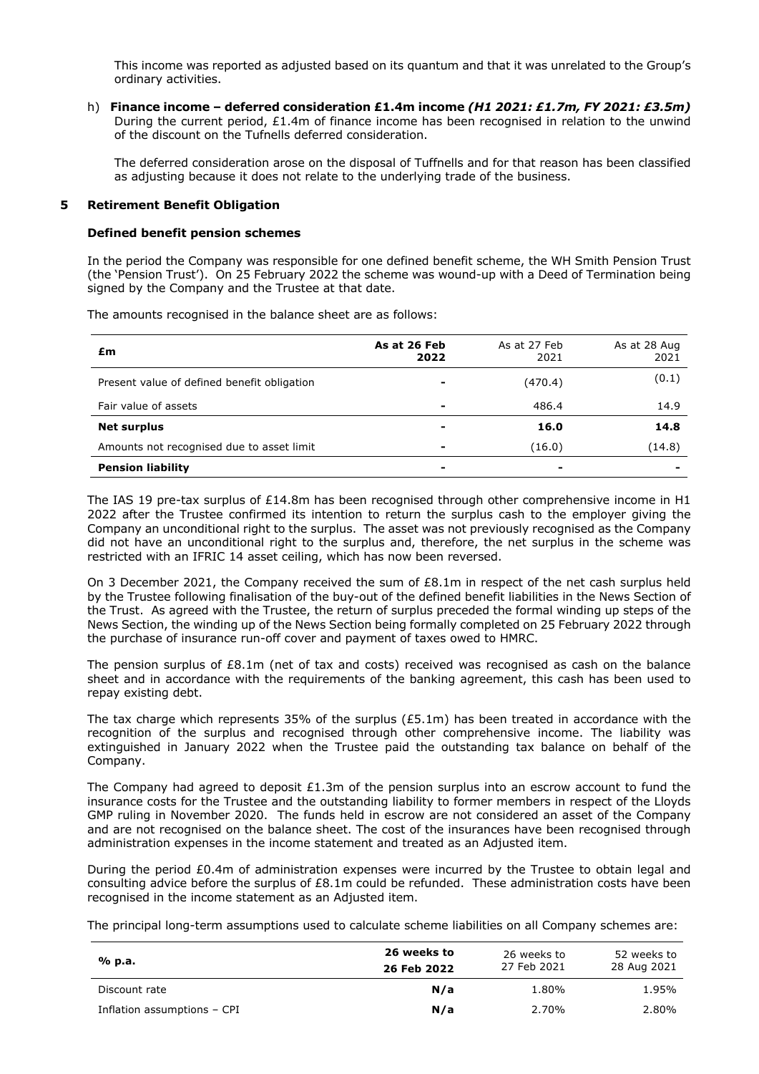This income was reported as adjusted based on its quantum and that it was unrelated to the Group's ordinary activities.

h) **Finance income – deferred consideration £1.4m income** *(H1 2021: £1.7m, FY 2021: £3.5m)* During the current period, £1.4m of finance income has been recognised in relation to the unwind of the discount on the Tufnells deferred consideration.

The deferred consideration arose on the disposal of Tuffnells and for that reason has been classified as adjusting because it does not relate to the underlying trade of the business.

## **5 Retirement Benefit Obligation**

#### **Defined benefit pension schemes**

In the period the Company was responsible for one defined benefit scheme, the WH Smith Pension Trust (the 'Pension Trust'). On 25 February 2022 the scheme was wound-up with a Deed of Termination being signed by the Company and the Trustee at that date.

The amounts recognised in the balance sheet are as follows:

| £m                                          | As at 26 Feb<br>2022     | As at 27 Feb<br>2021 | As at 28 Aug<br>2021 |
|---------------------------------------------|--------------------------|----------------------|----------------------|
| Present value of defined benefit obligation |                          | (470.4)              | (0.1)                |
| Fair value of assets                        |                          | 486.4                | 14.9                 |
| <b>Net surplus</b>                          |                          | 16.0                 | 14.8                 |
| Amounts not recognised due to asset limit   | $\overline{\phantom{0}}$ | (16.0)               | (14.8)               |
| <b>Pension liability</b>                    |                          | $\blacksquare$       |                      |

The IAS 19 pre-tax surplus of £14.8m has been recognised through other comprehensive income in H1 2022 after the Trustee confirmed its intention to return the surplus cash to the employer giving the Company an unconditional right to the surplus. The asset was not previously recognised as the Company did not have an unconditional right to the surplus and, therefore, the net surplus in the scheme was restricted with an IFRIC 14 asset ceiling, which has now been reversed.

On 3 December 2021, the Company received the sum of £8.1m in respect of the net cash surplus held by the Trustee following finalisation of the buy-out of the defined benefit liabilities in the News Section of the Trust. As agreed with the Trustee, the return of surplus preceded the formal winding up steps of the News Section, the winding up of the News Section being formally completed on 25 February 2022 through the purchase of insurance run-off cover and payment of taxes owed to HMRC.

The pension surplus of £8.1m (net of tax and costs) received was recognised as cash on the balance sheet and in accordance with the requirements of the banking agreement, this cash has been used to repay existing debt.

The tax charge which represents 35% of the surplus (£5.1m) has been treated in accordance with the recognition of the surplus and recognised through other comprehensive income. The liability was extinguished in January 2022 when the Trustee paid the outstanding tax balance on behalf of the Company.

The Company had agreed to deposit  $£1.3m$  of the pension surplus into an escrow account to fund the insurance costs for the Trustee and the outstanding liability to former members in respect of the Lloyds GMP ruling in November 2020. The funds held in escrow are not considered an asset of the Company and are not recognised on the balance sheet. The cost of the insurances have been recognised through administration expenses in the income statement and treated as an Adjusted item.

During the period £0.4m of administration expenses were incurred by the Trustee to obtain legal and consulting advice before the surplus of £8.1m could be refunded. These administration costs have been recognised in the income statement as an Adjusted item.

The principal long-term assumptions used to calculate scheme liabilities on all Company schemes are:

| % p.a.                      | 26 weeks to<br>26 Feb 2022 | 26 weeks to<br>27 Feb 2021 | 52 weeks to<br>28 Aug 2021 |
|-----------------------------|----------------------------|----------------------------|----------------------------|
| Discount rate               | N/a                        | 1.80%                      | 1.95%                      |
| Inflation assumptions - CPI | N/a                        | 2.70%                      | 2.80%                      |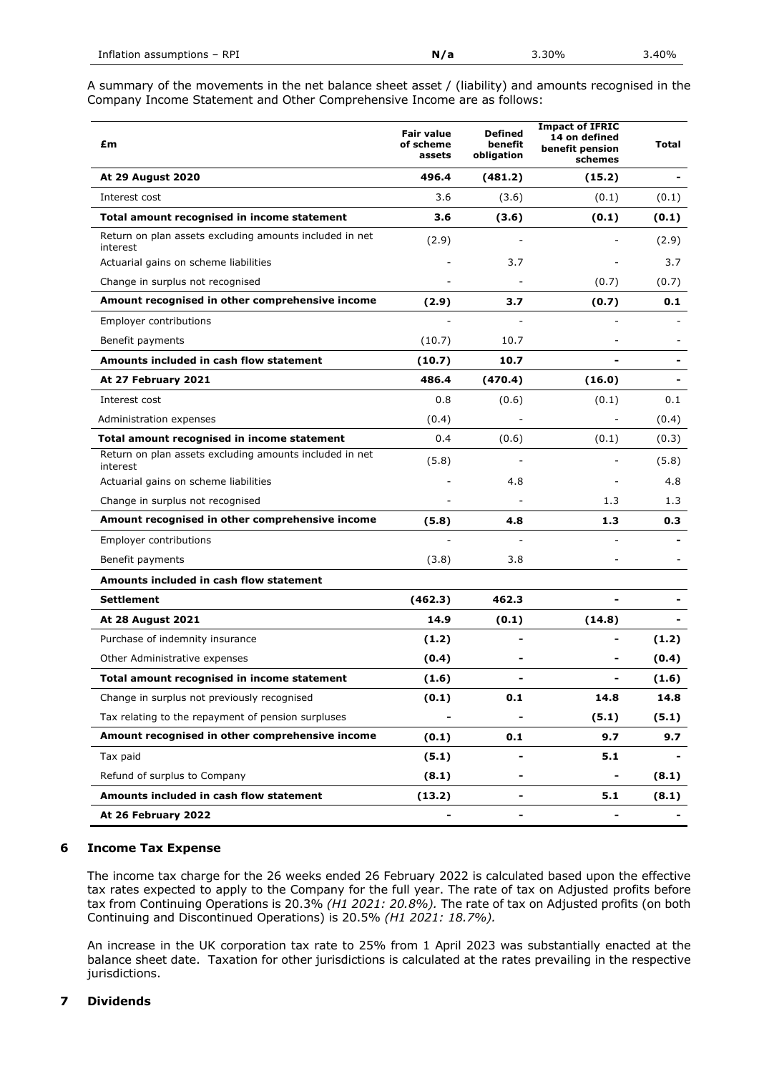A summary of the movements in the net balance sheet asset / (liability) and amounts recognised in the Company Income Statement and Other Comprehensive Income are as follows:

| £m                                                                  | <b>Fair value</b><br>of scheme<br>assets | <b>Defined</b><br>benefit<br>obligation | <b>Impact of IFRIC</b><br>14 on defined<br>benefit pension<br>schemes | Total |
|---------------------------------------------------------------------|------------------------------------------|-----------------------------------------|-----------------------------------------------------------------------|-------|
| <b>At 29 August 2020</b>                                            | 496.4                                    | (481.2)                                 | (15.2)                                                                |       |
| Interest cost                                                       | 3.6                                      | (3.6)                                   | (0.1)                                                                 | (0.1) |
| Total amount recognised in income statement                         | 3.6                                      | (3.6)                                   | (0.1)                                                                 | (0.1) |
| Return on plan assets excluding amounts included in net<br>interest | (2.9)                                    |                                         |                                                                       | (2.9) |
| Actuarial gains on scheme liabilities                               |                                          | 3.7                                     |                                                                       | 3.7   |
| Change in surplus not recognised                                    |                                          |                                         | (0.7)                                                                 | (0.7) |
| Amount recognised in other comprehensive income                     | (2.9)                                    | 3.7                                     | (0.7)                                                                 | 0.1   |
| <b>Employer contributions</b>                                       |                                          |                                         |                                                                       |       |
| Benefit payments                                                    | (10.7)                                   | 10.7                                    |                                                                       |       |
| Amounts included in cash flow statement                             | (10.7)                                   | 10.7                                    |                                                                       |       |
| At 27 February 2021                                                 | 486.4                                    | (470.4)                                 | (16.0)                                                                |       |
| Interest cost                                                       | 0.8                                      | (0.6)                                   | (0.1)                                                                 | 0.1   |
| Administration expenses                                             | (0.4)                                    |                                         |                                                                       | (0.4) |
| Total amount recognised in income statement                         | 0.4                                      | (0.6)                                   | (0.1)                                                                 | (0.3) |
| Return on plan assets excluding amounts included in net<br>interest | (5.8)                                    | $\overline{a}$                          |                                                                       | (5.8) |
| Actuarial gains on scheme liabilities                               |                                          | 4.8                                     |                                                                       | 4.8   |
| Change in surplus not recognised                                    |                                          |                                         | 1.3                                                                   | 1.3   |
| Amount recognised in other comprehensive income                     | (5.8)                                    | 4.8                                     | 1.3                                                                   | 0.3   |
| <b>Employer contributions</b>                                       |                                          |                                         |                                                                       |       |
| Benefit payments                                                    | (3.8)                                    | 3.8                                     |                                                                       |       |
| Amounts included in cash flow statement                             |                                          |                                         |                                                                       |       |
| Settlement                                                          | (462.3)                                  | 462.3                                   |                                                                       |       |
| <b>At 28 August 2021</b>                                            | 14.9                                     | (0.1)                                   | (14.8)                                                                |       |
| Purchase of indemnity insurance                                     | (1.2)                                    |                                         |                                                                       | (1.2) |
| Other Administrative expenses                                       | (0.4)                                    |                                         |                                                                       | (0.4) |
| Total amount recognised in income statement                         | (1.6)                                    |                                         |                                                                       | (1.6) |
| Change in surplus not previously recognised                         | (0.1)                                    | 0.1                                     | 14.8                                                                  | 14.8  |
| Tax relating to the repayment of pension surpluses                  |                                          |                                         | (5.1)                                                                 | (5.1) |
| Amount recognised in other comprehensive income                     | (0.1)                                    | 0.1                                     | 9.7                                                                   | 9.7   |
| Tax paid                                                            | (5.1)                                    |                                         | 5.1                                                                   |       |
| Refund of surplus to Company                                        | (8.1)                                    |                                         |                                                                       | (8.1) |
| Amounts included in cash flow statement                             | (13.2)                                   |                                         | 5.1                                                                   | (8.1) |
| At 26 February 2022                                                 |                                          |                                         |                                                                       |       |

# **6 Income Tax Expense**

The income tax charge for the 26 weeks ended 26 February 2022 is calculated based upon the effective tax rates expected to apply to the Company for the full year. The rate of tax on Adjusted profits before tax from Continuing Operations is 20.3% *(H1 2021: 20.8%).* The rate of tax on Adjusted profits (on both Continuing and Discontinued Operations) is 20.5% *(H1 2021: 18.7%).*

An increase in the UK corporation tax rate to 25% from 1 April 2023 was substantially enacted at the balance sheet date. Taxation for other jurisdictions is calculated at the rates prevailing in the respective jurisdictions.

# **7 Dividends**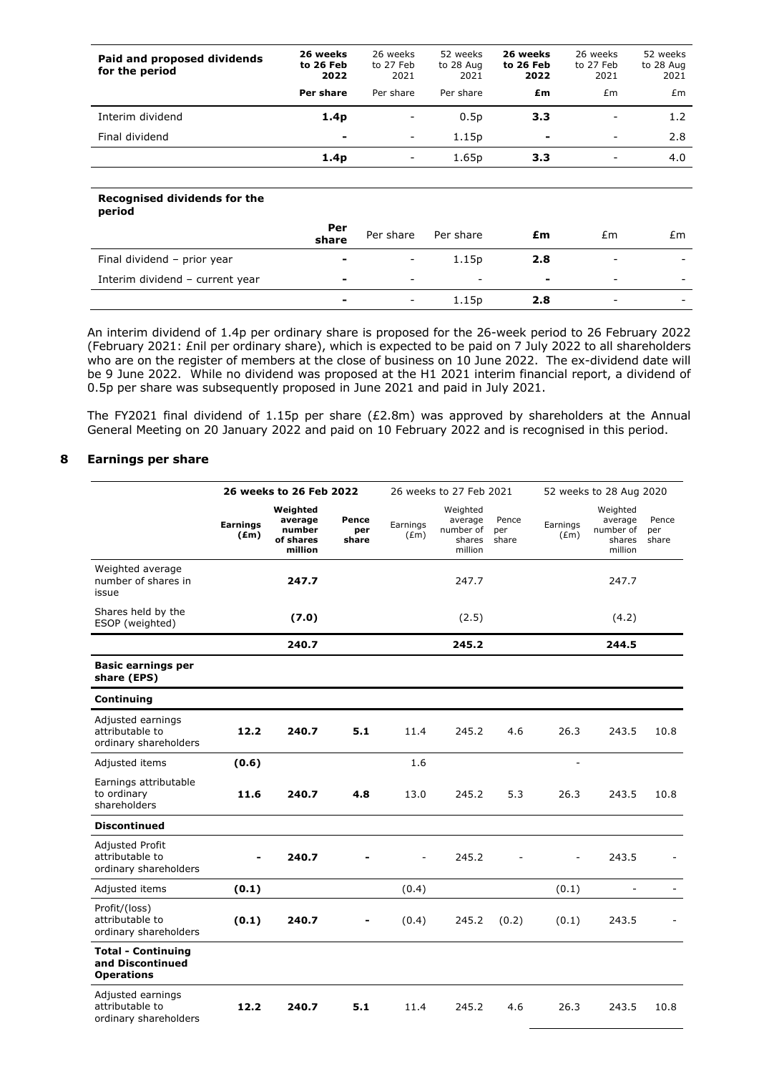| Paid and proposed dividends<br>for the period | 26 weeks<br>to 26 Feb<br>2022 | 26 weeks<br>to 27 Feb<br>2021 | 52 weeks<br>to 28 Aug<br>2021 | 26 weeks<br>to 26 Feb<br>2022 | 26 weeks<br>to 27 Feb<br>2021 | 52 weeks<br>to 28 Aug<br>2021 |
|-----------------------------------------------|-------------------------------|-------------------------------|-------------------------------|-------------------------------|-------------------------------|-------------------------------|
|                                               | Per share                     | Per share                     | Per share                     | £m                            | £m                            | £m                            |
| Interim dividend                              | 1.4 <sub>p</sub>              | -                             | 0.5p                          | 3.3                           | $\overline{\phantom{a}}$      | 1.2                           |
| Final dividend                                | $\overline{\phantom{a}}$      | -                             | 1.15p                         | $\overline{\phantom{a}}$      | $\overline{\phantom{a}}$      | 2.8                           |
|                                               | 1.4 <sub>p</sub>              |                               | 1.65p                         | 3.3                           | $\overline{\phantom{a}}$      | 4.0                           |

# **Recognised dividends for the**

| Per<br>share   | Per share                | Per share                | £m             | £m                       | £m |
|----------------|--------------------------|--------------------------|----------------|--------------------------|----|
| $\blacksquare$ | $\overline{\phantom{a}}$ | 1.15p                    | 2.8            | $\overline{\phantom{a}}$ |    |
| $\blacksquare$ | $\overline{\phantom{a}}$ | $\overline{\phantom{a}}$ | $\blacksquare$ | -                        |    |
| $\blacksquare$ | $\overline{\phantom{a}}$ | 1.15p                    | 2.8            | $\overline{\phantom{0}}$ |    |
|                |                          |                          |                |                          |    |

An interim dividend of 1.4p per ordinary share is proposed for the 26-week period to 26 February 2022 (February 2021: £nil per ordinary share), which is expected to be paid on 7 July 2022 to all shareholders who are on the register of members at the close of business on 10 June 2022. The ex-dividend date will be 9 June 2022. While no dividend was proposed at the H1 2021 interim financial report, a dividend of 0.5p per share was subsequently proposed in June 2021 and paid in July 2021.

The FY2021 final dividend of 1.15p per share (£2.8m) was approved by shareholders at the Annual General Meeting on 20 January 2022 and paid on 10 February 2022 and is recognised in this period.

# **8 Earnings per share**

|                                                                    | 26 weeks to 26 Feb 2022          |                                                       | 26 weeks to 27 Feb 2021 |                           |                                                       | 52 weeks to 28 Aug 2020 |                           |                                                       |                       |
|--------------------------------------------------------------------|----------------------------------|-------------------------------------------------------|-------------------------|---------------------------|-------------------------------------------------------|-------------------------|---------------------------|-------------------------------------------------------|-----------------------|
|                                                                    | <b>Earnings</b><br>$(\text{Em})$ | Weighted<br>average<br>number<br>of shares<br>million | Pence<br>per<br>share   | Earnings<br>$(\text{Em})$ | Weighted<br>average<br>number of<br>shares<br>million | Pence<br>per<br>share   | Earnings<br>$(\text{Em})$ | Weighted<br>average<br>number of<br>shares<br>million | Pence<br>per<br>share |
| Weighted average<br>number of shares in<br>issue                   |                                  | 247.7                                                 |                         |                           | 247.7                                                 |                         |                           | 247.7                                                 |                       |
| Shares held by the<br>ESOP (weighted)                              |                                  | (7.0)                                                 |                         |                           | (2.5)                                                 |                         |                           | (4.2)                                                 |                       |
|                                                                    |                                  | 240.7                                                 |                         |                           | 245.2                                                 |                         |                           | 244.5                                                 |                       |
| <b>Basic earnings per</b><br>share (EPS)                           |                                  |                                                       |                         |                           |                                                       |                         |                           |                                                       |                       |
| Continuing                                                         |                                  |                                                       |                         |                           |                                                       |                         |                           |                                                       |                       |
| Adjusted earnings<br>attributable to<br>ordinary shareholders      | 12.2                             | 240.7                                                 | 5.1                     | 11.4                      | 245.2                                                 | 4.6                     | 26.3                      | 243.5                                                 | 10.8                  |
| Adjusted items                                                     | (0.6)                            |                                                       |                         | 1.6                       |                                                       |                         | $\overline{\phantom{a}}$  |                                                       |                       |
| Earnings attributable<br>to ordinary<br>shareholders               | 11.6                             | 240.7                                                 | 4.8                     | 13.0                      | 245.2                                                 | 5.3                     | 26.3                      | 243.5                                                 | 10.8                  |
| <b>Discontinued</b>                                                |                                  |                                                       |                         |                           |                                                       |                         |                           |                                                       |                       |
| Adjusted Profit<br>attributable to<br>ordinary shareholders        |                                  | 240.7                                                 |                         |                           | 245.2                                                 |                         |                           | 243.5                                                 |                       |
| Adjusted items                                                     | (0.1)                            |                                                       |                         | (0.4)                     |                                                       |                         | (0.1)                     | $\overline{\phantom{a}}$                              |                       |
| Profit/(loss)<br>attributable to<br>ordinary shareholders          | (0.1)                            | 240.7                                                 |                         | (0.4)                     | 245.2                                                 | (0.2)                   | (0.1)                     | 243.5                                                 |                       |
| <b>Total - Continuing</b><br>and Discontinued<br><b>Operations</b> |                                  |                                                       |                         |                           |                                                       |                         |                           |                                                       |                       |
| Adjusted earnings<br>attributable to<br>ordinary shareholders      | 12.2                             | 240.7                                                 | 5.1                     | 11.4                      | 245.2                                                 | 4.6                     | 26.3                      | 243.5                                                 | 10.8                  |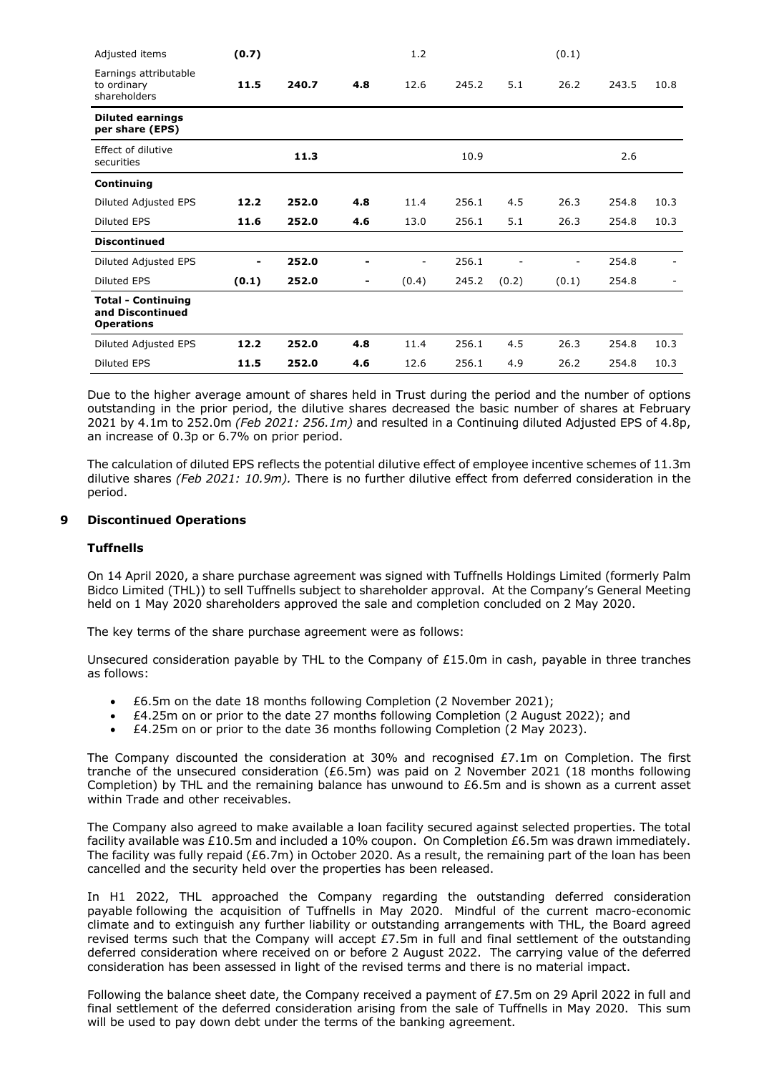| Adjusted items                                                     | (0.7) |       |     | 1.2                      |       |       | (0.1)                    |       |      |
|--------------------------------------------------------------------|-------|-------|-----|--------------------------|-------|-------|--------------------------|-------|------|
| Earnings attributable<br>to ordinary<br>shareholders               | 11.5  | 240.7 | 4.8 | 12.6                     | 245.2 | 5.1   | 26.2                     | 243.5 | 10.8 |
| <b>Diluted earnings</b><br>per share (EPS)                         |       |       |     |                          |       |       |                          |       |      |
| Effect of dilutive<br>securities                                   |       | 11.3  |     |                          | 10.9  |       |                          | 2.6   |      |
| Continuing                                                         |       |       |     |                          |       |       |                          |       |      |
| Diluted Adjusted EPS                                               | 12.2  | 252.0 | 4.8 | 11.4                     | 256.1 | 4.5   | 26.3                     | 254.8 | 10.3 |
| Diluted EPS                                                        | 11.6  | 252.0 | 4.6 | 13.0                     | 256.1 | 5.1   | 26.3                     | 254.8 | 10.3 |
| <b>Discontinued</b>                                                |       |       |     |                          |       |       |                          |       |      |
| Diluted Adjusted EPS                                               | ۰     | 252.0 |     | $\overline{\phantom{a}}$ | 256.1 |       | $\overline{\phantom{a}}$ | 254.8 |      |
| <b>Diluted EPS</b>                                                 | (0.1) | 252.0 | ۰   | (0.4)                    | 245.2 | (0.2) | (0.1)                    | 254.8 |      |
| <b>Total - Continuing</b><br>and Discontinued<br><b>Operations</b> |       |       |     |                          |       |       |                          |       |      |
| Diluted Adjusted EPS                                               | 12.2  | 252.0 | 4.8 | 11.4                     | 256.1 | 4.5   | 26.3                     | 254.8 | 10.3 |
| <b>Diluted EPS</b>                                                 | 11.5  | 252.0 | 4.6 | 12.6                     | 256.1 | 4.9   | 26.2                     | 254.8 | 10.3 |

Due to the higher average amount of shares held in Trust during the period and the number of options outstanding in the prior period, the dilutive shares decreased the basic number of shares at February 2021 by 4.1m to 252.0m *(Feb 2021: 256.1m)* and resulted in a Continuing diluted Adjusted EPS of 4.8p, an increase of 0.3p or 6.7% on prior period.

The calculation of diluted EPS reflects the potential dilutive effect of employee incentive schemes of 11.3m dilutive shares *(Feb 2021: 10.9m).* There is no further dilutive effect from deferred consideration in the period.

# **9 Discontinued Operations**

#### **Tuffnells**

On 14 April 2020, a share purchase agreement was signed with Tuffnells Holdings Limited (formerly Palm Bidco Limited (THL)) to sell Tuffnells subject to shareholder approval. At the Company's General Meeting held on 1 May 2020 shareholders approved the sale and completion concluded on 2 May 2020.

The key terms of the share purchase agreement were as follows:

Unsecured consideration payable by THL to the Company of £15.0m in cash, payable in three tranches as follows:

- £6.5m on the date 18 months following Completion (2 November 2021);
- $£4.25m$  on or prior to the date 27 months following Completion (2 August 2022); and
- £4.25m on or prior to the date 36 months following Completion (2 May 2023).

The Company discounted the consideration at 30% and recognised  $E7.1m$  on Completion. The first tranche of the unsecured consideration (£6.5m) was paid on 2 November 2021 (18 months following Completion) by THL and the remaining balance has unwound to £6.5m and is shown as a current asset within Trade and other receivables.

The Company also agreed to make available a loan facility secured against selected properties. The total facility available was £10.5m and included a 10% coupon. On Completion £6.5m was drawn immediately. The facility was fully repaid (£6.7m) in October 2020. As a result, the remaining part of the loan has been cancelled and the security held over the properties has been released.

In H1 2022, THL approached the Company regarding the outstanding deferred consideration payable following the acquisition of Tuffnells in May 2020. Mindful of the current macro-economic climate and to extinguish any further liability or outstanding arrangements with THL, the Board agreed revised terms such that the Company will accept £7.5m in full and final settlement of the outstanding deferred consideration where received on or before 2 August 2022. The carrying value of the deferred consideration has been assessed in light of the revised terms and there is no material impact.

Following the balance sheet date, the Company received a payment of £7.5m on 29 April 2022 in full and final settlement of the deferred consideration arising from the sale of Tuffnells in May 2020. This sum will be used to pay down debt under the terms of the banking agreement.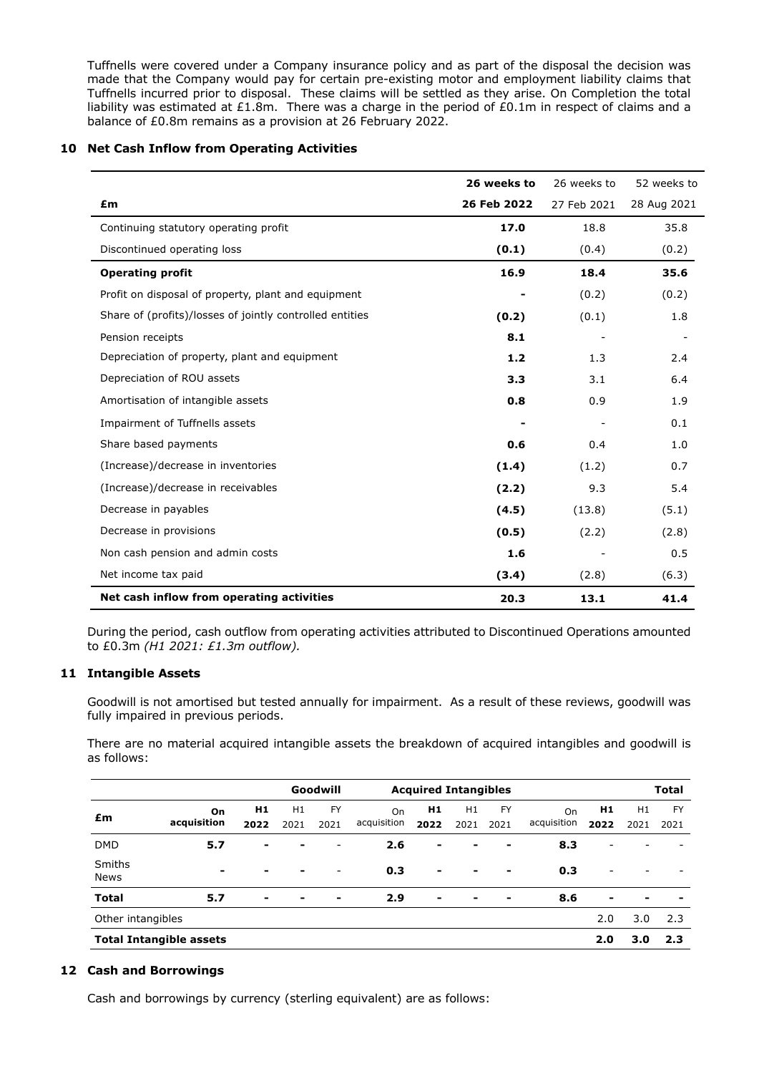Tuffnells were covered under a Company insurance policy and as part of the disposal the decision was made that the Company would pay for certain pre-existing motor and employment liability claims that Tuffnells incurred prior to disposal. These claims will be settled as they arise. On Completion the total liability was estimated at £1.8m. There was a charge in the period of  $E0.1m$  in respect of claims and a balance of £0.8m remains as a provision at 26 February 2022.

# **10 Net Cash Inflow from Operating Activities**

|                                                          | 26 weeks to | 26 weeks to              | 52 weeks to |
|----------------------------------------------------------|-------------|--------------------------|-------------|
| £m                                                       | 26 Feb 2022 | 27 Feb 2021              | 28 Aug 2021 |
| Continuing statutory operating profit                    | 17.0        | 18.8                     | 35.8        |
| Discontinued operating loss                              | (0.1)       | (0.4)                    | (0.2)       |
| <b>Operating profit</b>                                  | 16.9        | 18.4                     | 35.6        |
| Profit on disposal of property, plant and equipment      |             | (0.2)                    | (0.2)       |
| Share of (profits)/losses of jointly controlled entities | (0.2)       | (0.1)                    | 1.8         |
| Pension receipts                                         | 8.1         | $\overline{\phantom{a}}$ |             |
| Depreciation of property, plant and equipment            | 1.2         | 1.3                      | 2.4         |
| Depreciation of ROU assets                               | 3.3         | 3.1                      | 6.4         |
| Amortisation of intangible assets                        | 0.8         | 0.9                      | 1.9         |
| Impairment of Tuffnells assets                           |             |                          | 0.1         |
| Share based payments                                     | 0.6         | 0.4                      | 1.0         |
| (Increase)/decrease in inventories                       | (1.4)       | (1.2)                    | 0.7         |
| (Increase)/decrease in receivables                       | (2.2)       | 9.3                      | 5.4         |
| Decrease in payables                                     | (4.5)       | (13.8)                   | (5.1)       |
| Decrease in provisions                                   | (0.5)       | (2.2)                    | (2.8)       |
| Non cash pension and admin costs                         | 1.6         |                          | 0.5         |
| Net income tax paid                                      | (3.4)       | (2.8)                    | (6.3)       |
| Net cash inflow from operating activities                | 20.3        | 13.1                     | 41.4        |

During the period, cash outflow from operating activities attributed to Discontinued Operations amounted to £0.3m *(H1 2021: £1.3m outflow).*

# **11 Intangible Assets**

Goodwill is not amortised but tested annually for impairment. As a result of these reviews, goodwill was fully impaired in previous periods.

There are no material acquired intangible assets the breakdown of acquired intangibles and goodwill is as follows:

|                       |                                |                |                          | Goodwill                 |                   | <b>Acquired Intangibles</b> |                          |                   |                   |                          |            | <b>Total</b>             |
|-----------------------|--------------------------------|----------------|--------------------------|--------------------------|-------------------|-----------------------------|--------------------------|-------------------|-------------------|--------------------------|------------|--------------------------|
| £m                    | On.<br>acquisition             | H1<br>2022     | H1<br>2021               | <b>FY</b><br>2021        | On<br>acquisition | H1<br>2022                  | H1<br>2021               | <b>FY</b><br>2021 | On<br>acquisition | H1<br>2022               | H1<br>2021 | <b>FY</b><br>2021        |
| <b>DMD</b>            | 5.7                            | $\blacksquare$ | ۰                        |                          | 2.6               | $\blacksquare$              |                          | -                 | 8.3               |                          |            |                          |
| Smiths<br><b>News</b> | $\overline{\phantom{a}}$       | $\blacksquare$ | $\overline{\phantom{a}}$ | $\overline{\phantom{a}}$ | 0.3               | $\blacksquare$              | $\overline{\phantom{a}}$ | $\blacksquare$    | 0.3               | $\overline{\phantom{a}}$ |            |                          |
| <b>Total</b>          | 5.7                            | $\blacksquare$ | $\blacksquare$           | $\blacksquare$           | 2.9               | $\blacksquare$              | $\blacksquare$           | $\blacksquare$    | 8.6               | $\blacksquare$           |            | $\overline{\phantom{0}}$ |
| Other intangibles     |                                |                |                          |                          |                   |                             |                          |                   |                   | 2.0                      | 3.0        | 2.3                      |
|                       | <b>Total Intangible assets</b> |                |                          |                          |                   |                             |                          |                   |                   | 2.0                      | 3.0        | 2.3                      |

# **12 Cash and Borrowings**

Cash and borrowings by currency (sterling equivalent) are as follows: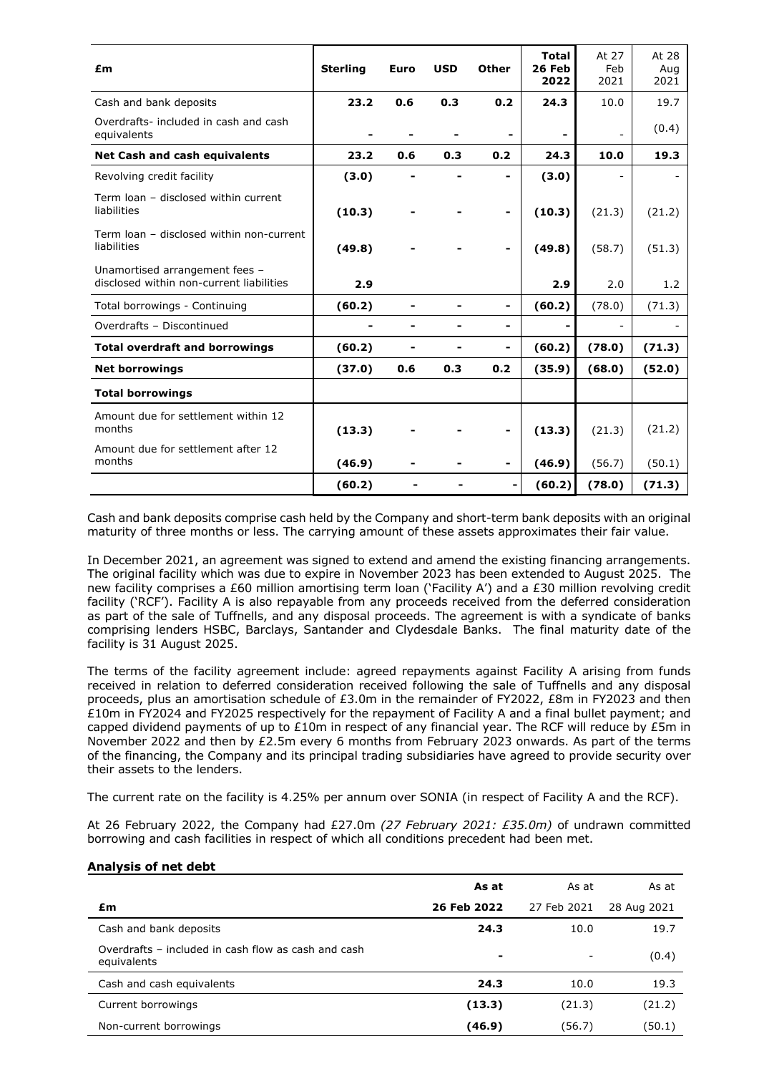| £m                                                                         | <b>Sterling</b> | <b>Euro</b> | <b>USD</b> | <b>Other</b>   | <b>Total</b><br>26 Feb<br>2022 | At 27<br>Feb<br>2021 | At 28<br>Aug<br>2021 |
|----------------------------------------------------------------------------|-----------------|-------------|------------|----------------|--------------------------------|----------------------|----------------------|
| Cash and bank deposits                                                     | 23.2            | 0.6         | 0.3        | 0.2            | 24.3                           | 10.0                 | 19.7                 |
| Overdrafts- included in cash and cash<br>equivalents                       |                 |             |            | $\blacksquare$ |                                |                      | (0.4)                |
| Net Cash and cash equivalents                                              | 23.2            | 0.6         | 0.3        | 0.2            | 24.3                           | 10.0                 | 19.3                 |
| Revolving credit facility                                                  | (3.0)           |             |            | $\blacksquare$ | (3.0)                          |                      |                      |
| Term loan - disclosed within current<br>liabilities                        | (10.3)          |             |            | $\blacksquare$ | (10.3)                         | (21.3)               | (21.2)               |
| Term loan - disclosed within non-current<br>liabilities                    | (49.8)          |             |            | $\blacksquare$ | (49.8)                         | (58.7)               | (51.3)               |
| Unamortised arrangement fees -<br>disclosed within non-current liabilities | 2.9             |             |            |                | 2.9                            | 2.0                  | 1.2                  |
| Total borrowings - Continuing                                              | (60.2)          |             |            | -              | (60.2)                         | (78.0)               | (71.3)               |
| Overdrafts - Discontinued                                                  | -               | -           |            | $\blacksquare$ |                                | $\blacksquare$       |                      |
| <b>Total overdraft and borrowings</b>                                      | (60.2)          |             |            | -              | (60.2)                         | (78.0)               | (71.3)               |
| <b>Net borrowings</b>                                                      | (37.0)          | 0.6         | 0.3        | 0.2            | (35.9)                         | (68.0)               | (52.0)               |
| <b>Total borrowings</b>                                                    |                 |             |            |                |                                |                      |                      |
| Amount due for settlement within 12<br>months                              | (13.3)          |             |            | -              | (13.3)                         | (21.3)               | (21.2)               |
| Amount due for settlement after 12<br>months                               | (46.9)          |             |            | $\blacksquare$ | (46.9)                         | (56.7)               | (50.1)               |
|                                                                            | (60.2)          |             |            |                | (60.2)                         | (78.0)               | (71.3)               |

Cash and bank deposits comprise cash held by the Company and short-term bank deposits with an original maturity of three months or less. The carrying amount of these assets approximates their fair value.

In December 2021, an agreement was signed to extend and amend the existing financing arrangements. The original facility which was due to expire in November 2023 has been extended to August 2025. The new facility comprises a £60 million amortising term loan ('Facility A') and a £30 million revolving credit facility ('RCF'). Facility A is also repayable from any proceeds received from the deferred consideration as part of the sale of Tuffnells, and any disposal proceeds. The agreement is with a syndicate of banks comprising lenders HSBC, Barclays, Santander and Clydesdale Banks. The final maturity date of the facility is 31 August 2025.

The terms of the facility agreement include: agreed repayments against Facility A arising from funds received in relation to deferred consideration received following the sale of Tuffnells and any disposal proceeds, plus an amortisation schedule of £3.0m in the remainder of FY2022, £8m in FY2023 and then £10m in FY2024 and FY2025 respectively for the repayment of Facility A and a final bullet payment; and capped dividend payments of up to £10m in respect of any financial year. The RCF will reduce by £5m in November 2022 and then by £2.5m every 6 months from February 2023 onwards. As part of the terms of the financing, the Company and its principal trading subsidiaries have agreed to provide security over their assets to the lenders.

The current rate on the facility is 4.25% per annum over SONIA (in respect of Facility A and the RCF).

At 26 February 2022, the Company had £27.0m *(27 February 2021: £35.0m)* of undrawn committed borrowing and cash facilities in respect of which all conditions precedent had been met.

#### **Analysis of net debt**

|                                                                    | As at                    | As at                    | As at       |
|--------------------------------------------------------------------|--------------------------|--------------------------|-------------|
| £m                                                                 | 26 Feb 2022              | 27 Feb 2021              | 28 Aug 2021 |
| Cash and bank deposits                                             | 24.3                     | 10.0                     | 19.7        |
| Overdrafts – included in cash flow as cash and cash<br>equivalents | $\overline{\phantom{a}}$ | $\overline{\phantom{a}}$ | (0.4)       |
| Cash and cash equivalents                                          | 24.3                     | 10.0                     | 19.3        |
| Current borrowings                                                 | (13.3)                   | (21.3)                   | (21.2)      |
| Non-current borrowings                                             | (46.9)                   | (56.7)                   | (50.1)      |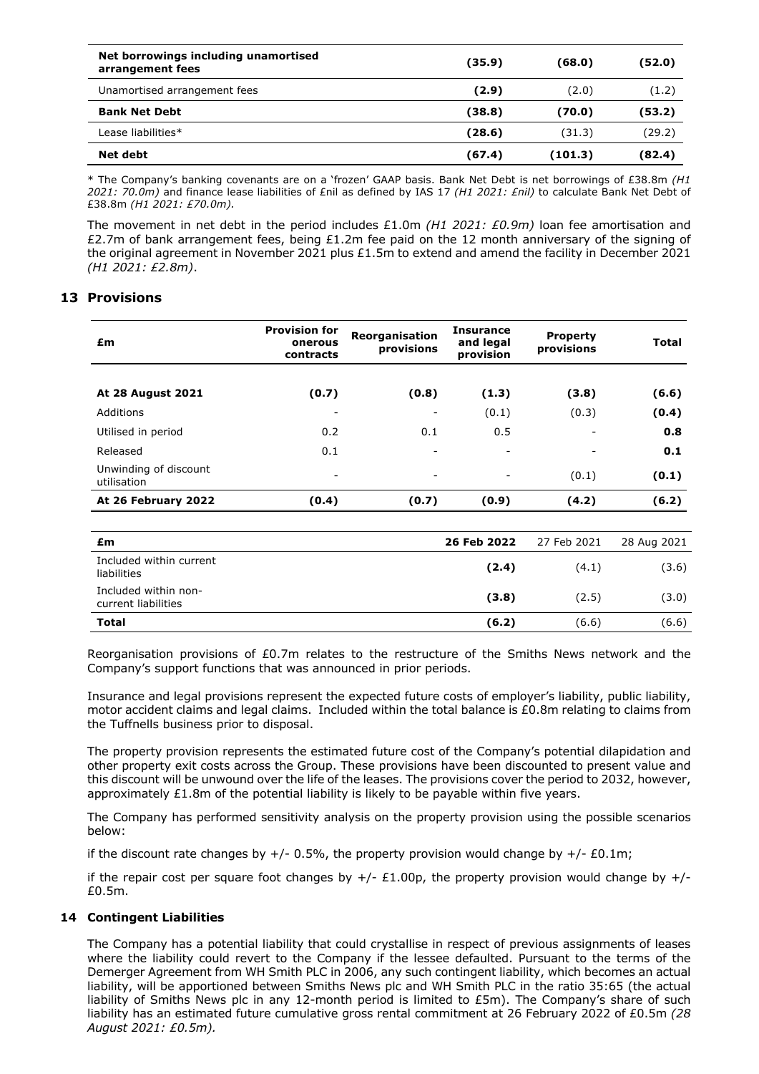| Net borrowings including unamortised<br>arrangement fees | (35.9) | (68.0)  | (52.0) |
|----------------------------------------------------------|--------|---------|--------|
| Unamortised arrangement fees                             | (2.9)  | (2.0)   | (1.2)  |
| <b>Bank Net Debt</b>                                     | (38.8) | (70.0)  | (53.2) |
| Lease liabilities*                                       | (28.6) | (31.3)  | (29.2) |
| Net debt                                                 | (67.4) | (101.3) | (82.4) |

\* The Company's banking covenants are on a 'frozen' GAAP basis. Bank Net Debt is net borrowings of £38.8m *(H1 2021: 70.0m)* and finance lease liabilities of £nil as defined by IAS 17 *(H1 2021: £nil)* to calculate Bank Net Debt of £38.8m *(H1 2021: £70.0m).*

The movement in net debt in the period includes £1.0m *(H1 2021: £0.9m)* loan fee amortisation and £2.7m of bank arrangement fees, being £1.2m fee paid on the 12 month anniversary of the signing of the original agreement in November 2021 plus £1.5m to extend and amend the facility in December 2021 *(H1 2021: £2.8m)*.

# **13 Provisions**

| £m                                   | <b>Provision for</b><br>onerous<br>contracts | Reorganisation<br>provisions | <b>Insurance</b><br>and legal<br>provision | <b>Property</b><br>provisions | <b>Total</b> |
|--------------------------------------|----------------------------------------------|------------------------------|--------------------------------------------|-------------------------------|--------------|
| <b>At 28 August 2021</b>             | (0.7)                                        | (0.8)                        | (1.3)                                      | (3.8)                         | (6.6)        |
| Additions                            | $\overline{\phantom{a}}$                     | $\overline{\phantom{a}}$     | (0.1)                                      | (0.3)                         | (0.4)        |
| Utilised in period                   | 0.2                                          | 0.1                          | 0.5                                        |                               | 0.8          |
| Released                             | 0.1                                          |                              | $\overline{\phantom{a}}$                   |                               | 0.1          |
| Unwinding of discount<br>utilisation | $\overline{\phantom{a}}$                     | $\overline{\phantom{a}}$     | $\overline{\phantom{a}}$                   | (0.1)                         | (0.1)        |
| At 26 February 2022                  | (0.4)                                        | (0.7)                        | (0.9)                                      | (4.2)                         | (6.2)        |

| £m                                          | 26 Feb 2022 | 27 Feb 2021 | 28 Aug 2021 |
|---------------------------------------------|-------------|-------------|-------------|
| Included within current<br>liabilities      | (2.4)       | (4.1)       | (3.6)       |
| Included within non-<br>current liabilities | (3.8)       | (2.5)       | (3.0)       |
| Total                                       | (6.2)       | (6.6)       | (6.6)       |
|                                             |             |             |             |

Reorganisation provisions of £0.7m relates to the restructure of the Smiths News network and the Company's support functions that was announced in prior periods.

Insurance and legal provisions represent the expected future costs of employer's liability, public liability, motor accident claims and legal claims. Included within the total balance is £0.8m relating to claims from the Tuffnells business prior to disposal.

The property provision represents the estimated future cost of the Company's potential dilapidation and other property exit costs across the Group. These provisions have been discounted to present value and this discount will be unwound over the life of the leases. The provisions cover the period to 2032, however, approximately £1.8m of the potential liability is likely to be payable within five years.

The Company has performed sensitivity analysis on the property provision using the possible scenarios below:

if the discount rate changes by  $+/- 0.5\%$ , the property provision would change by  $+/- E0.1$ m;

if the repair cost per square foot changes by  $+/-$  £1.00p, the property provision would change by  $+/-$ £0.5m.

# **14 Contingent Liabilities**

The Company has a potential liability that could crystallise in respect of previous assignments of leases where the liability could revert to the Company if the lessee defaulted. Pursuant to the terms of the Demerger Agreement from WH Smith PLC in 2006, any such contingent liability, which becomes an actual liability, will be apportioned between Smiths News plc and WH Smith PLC in the ratio 35:65 (the actual liability of Smiths News plc in any 12-month period is limited to £5m). The Company's share of such liability has an estimated future cumulative gross rental commitment at 26 February 2022 of £0.5m *(28 August 2021: £0.5m).*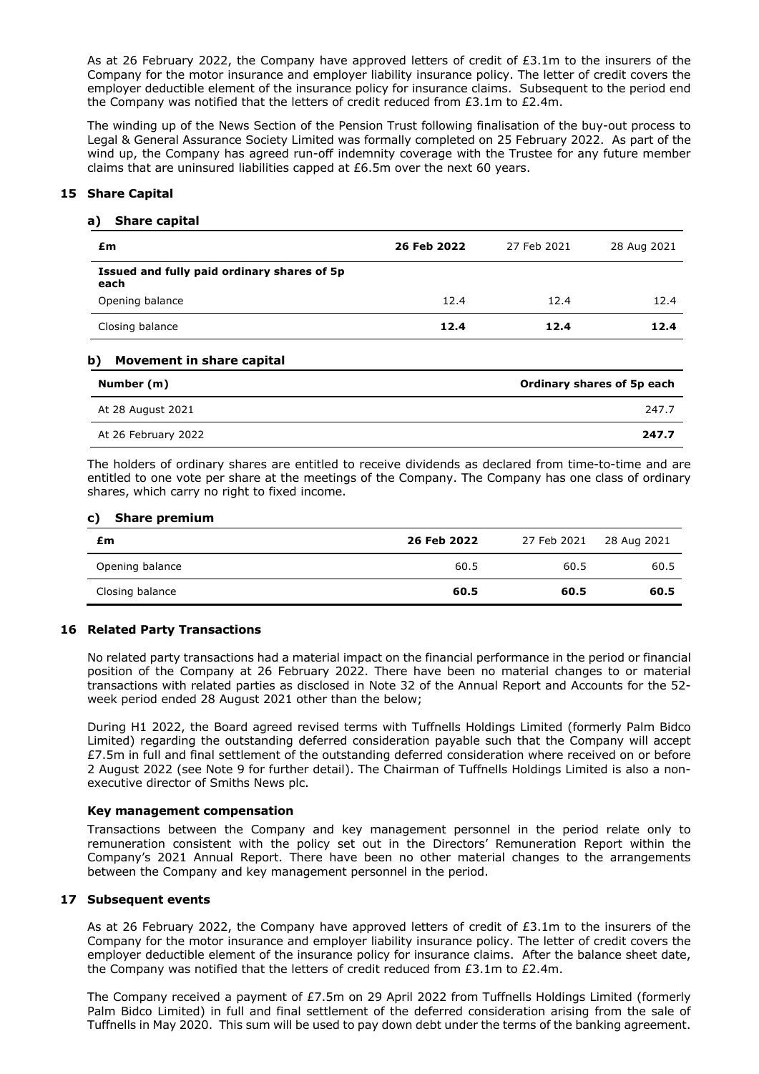As at 26 February 2022, the Company have approved letters of credit of £3.1m to the insurers of the Company for the motor insurance and employer liability insurance policy. The letter of credit covers the employer deductible element of the insurance policy for insurance claims. Subsequent to the period end the Company was notified that the letters of credit reduced from £3.1m to £2.4m.

The winding up of the News Section of the Pension Trust following finalisation of the buy-out process to Legal & General Assurance Society Limited was formally completed on 25 February 2022. As part of the wind up, the Company has agreed run-off indemnity coverage with the Trustee for any future member claims that are uninsured liabilities capped at £6.5m over the next 60 years.

# **15 Share Capital**

# **a) Share capital**

| £m                                                  | 26 Feb 2022 | 27 Feb 2021 | 28 Aug 2021 |
|-----------------------------------------------------|-------------|-------------|-------------|
| Issued and fully paid ordinary shares of 5p<br>each |             |             |             |
| Opening balance                                     | 12.4        | 12.4        | 12.4        |
| Closing balance                                     | 12.4        | 12.4        | 12.4        |

# **b) Movement in share capital**

| Number (m)          | Ordinary shares of 5p each |
|---------------------|----------------------------|
| At 28 August 2021   | 247.7                      |
| At 26 February 2022 | 247.7                      |

The holders of ordinary shares are entitled to receive dividends as declared from time-to-time and are entitled to one vote per share at the meetings of the Company. The Company has one class of ordinary shares, which carry no right to fixed income.

## **c) Share premium**

| £m              | 26 Feb 2022 | 27 Feb 2021 | 28 Aug 2021 |
|-----------------|-------------|-------------|-------------|
| Opening balance | 60.5        | 60.5        | 60.5        |
| Closing balance | 60.5        | 60.5        | 60.5        |

# **16 Related Party Transactions**

No related party transactions had a material impact on the financial performance in the period or financial position of the Company at 26 February 2022. There have been no material changes to or material transactions with related parties as disclosed in Note 32 of the Annual Report and Accounts for the 52 week period ended 28 August 2021 other than the below;

During H1 2022, the Board agreed revised terms with Tuffnells Holdings Limited (formerly Palm Bidco Limited) regarding the outstanding deferred consideration payable such that the Company will accept £7.5m in full and final settlement of the outstanding deferred consideration where received on or before 2 August 2022 (see Note 9 for further detail). The Chairman of Tuffnells Holdings Limited is also a nonexecutive director of Smiths News plc.

# **Key management compensation**

Transactions between the Company and key management personnel in the period relate only to remuneration consistent with the policy set out in the Directors' Remuneration Report within the Company's 2021 Annual Report. There have been no other material changes to the arrangements between the Company and key management personnel in the period.

# **17 Subsequent events**

As at 26 February 2022, the Company have approved letters of credit of £3.1m to the insurers of the Company for the motor insurance and employer liability insurance policy. The letter of credit covers the employer deductible element of the insurance policy for insurance claims. After the balance sheet date, the Company was notified that the letters of credit reduced from £3.1m to £2.4m.

The Company received a payment of £7.5m on 29 April 2022 from Tuffnells Holdings Limited (formerly Palm Bidco Limited) in full and final settlement of the deferred consideration arising from the sale of Tuffnells in May 2020. This sum will be used to pay down debt under the terms of the banking agreement.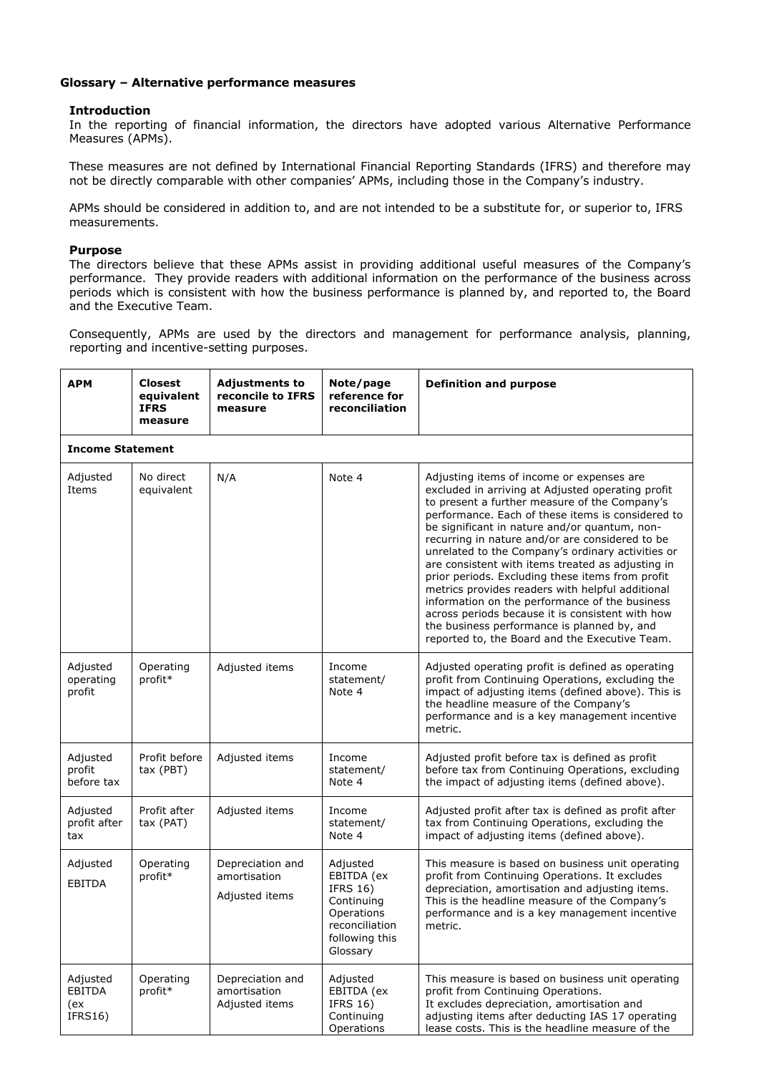# **Glossary – Alternative performance measures**

### **Introduction**

In the reporting of financial information, the directors have adopted various Alternative Performance Measures (APMs).

These measures are not defined by International Financial Reporting Standards (IFRS) and therefore may not be directly comparable with other companies' APMs, including those in the Company's industry.

APMs should be considered in addition to, and are not intended to be a substitute for, or superior to, IFRS measurements.

#### **Purpose**

The directors believe that these APMs assist in providing additional useful measures of the Company's performance. They provide readers with additional information on the performance of the business across periods which is consistent with how the business performance is planned by, and reported to, the Board and the Executive Team.

Consequently, APMs are used by the directors and management for performance analysis, planning, reporting and incentive-setting purposes.

| <b>APM</b>                                  | <b>Closest</b><br>equivalent<br><b>IFRS</b><br>measure | <b>Adjustments to</b><br>reconcile to IFRS<br>measure | Note/page<br>reference for<br>reconciliation                                                                          | <b>Definition and purpose</b>                                                                                                                                                                                                                                                                                                                                                                                                                                                                                                                                                                                                                                                                                                     |
|---------------------------------------------|--------------------------------------------------------|-------------------------------------------------------|-----------------------------------------------------------------------------------------------------------------------|-----------------------------------------------------------------------------------------------------------------------------------------------------------------------------------------------------------------------------------------------------------------------------------------------------------------------------------------------------------------------------------------------------------------------------------------------------------------------------------------------------------------------------------------------------------------------------------------------------------------------------------------------------------------------------------------------------------------------------------|
| <b>Income Statement</b>                     |                                                        |                                                       |                                                                                                                       |                                                                                                                                                                                                                                                                                                                                                                                                                                                                                                                                                                                                                                                                                                                                   |
| Adjusted<br>Items                           | No direct<br>equivalent                                | N/A                                                   | Note 4                                                                                                                | Adjusting items of income or expenses are<br>excluded in arriving at Adjusted operating profit<br>to present a further measure of the Company's<br>performance. Each of these items is considered to<br>be significant in nature and/or quantum, non-<br>recurring in nature and/or are considered to be<br>unrelated to the Company's ordinary activities or<br>are consistent with items treated as adjusting in<br>prior periods. Excluding these items from profit<br>metrics provides readers with helpful additional<br>information on the performance of the business<br>across periods because it is consistent with how<br>the business performance is planned by, and<br>reported to, the Board and the Executive Team. |
| Adjusted<br>operating<br>profit             | Operating<br>profit*                                   | Adjusted items                                        | Income<br>statement/<br>Note 4                                                                                        | Adjusted operating profit is defined as operating<br>profit from Continuing Operations, excluding the<br>impact of adjusting items (defined above). This is<br>the headline measure of the Company's<br>performance and is a key management incentive<br>metric.                                                                                                                                                                                                                                                                                                                                                                                                                                                                  |
| Adjusted<br>profit<br>before tax            | Profit before<br>tax (PBT)                             | Adjusted items                                        | Income<br>statement/<br>Note 4                                                                                        | Adjusted profit before tax is defined as profit<br>before tax from Continuing Operations, excluding<br>the impact of adjusting items (defined above).                                                                                                                                                                                                                                                                                                                                                                                                                                                                                                                                                                             |
| Adjusted<br>profit after<br>tax             | Profit after<br>tax (PAT)                              | Adjusted items                                        | Income<br>statement/<br>Note 4                                                                                        | Adjusted profit after tax is defined as profit after<br>tax from Continuing Operations, excluding the<br>impact of adjusting items (defined above).                                                                                                                                                                                                                                                                                                                                                                                                                                                                                                                                                                               |
| Adjusted<br>EBITDA                          | Operating<br>profit*                                   | Depreciation and<br>amortisation<br>Adjusted items    | Adjusted<br>EBITDA (ex<br><b>IFRS 16)</b><br>Continuing<br>Operations<br>reconciliation<br>following this<br>Glossary | This measure is based on business unit operating<br>profit from Continuing Operations. It excludes<br>depreciation, amortisation and adjusting items.<br>This is the headline measure of the Company's<br>performance and is a key management incentive<br>metric.                                                                                                                                                                                                                                                                                                                                                                                                                                                                |
| Adjusted<br>EBITDA<br>(ex<br><b>IFRS16)</b> | Operating<br>profit*                                   | Depreciation and<br>amortisation<br>Adjusted items    | Adjusted<br>EBITDA (ex<br><b>IFRS 16)</b><br>Continuing<br>Operations                                                 | This measure is based on business unit operating<br>profit from Continuing Operations.<br>It excludes depreciation, amortisation and<br>adjusting items after deducting IAS 17 operating<br>lease costs. This is the headline measure of the                                                                                                                                                                                                                                                                                                                                                                                                                                                                                      |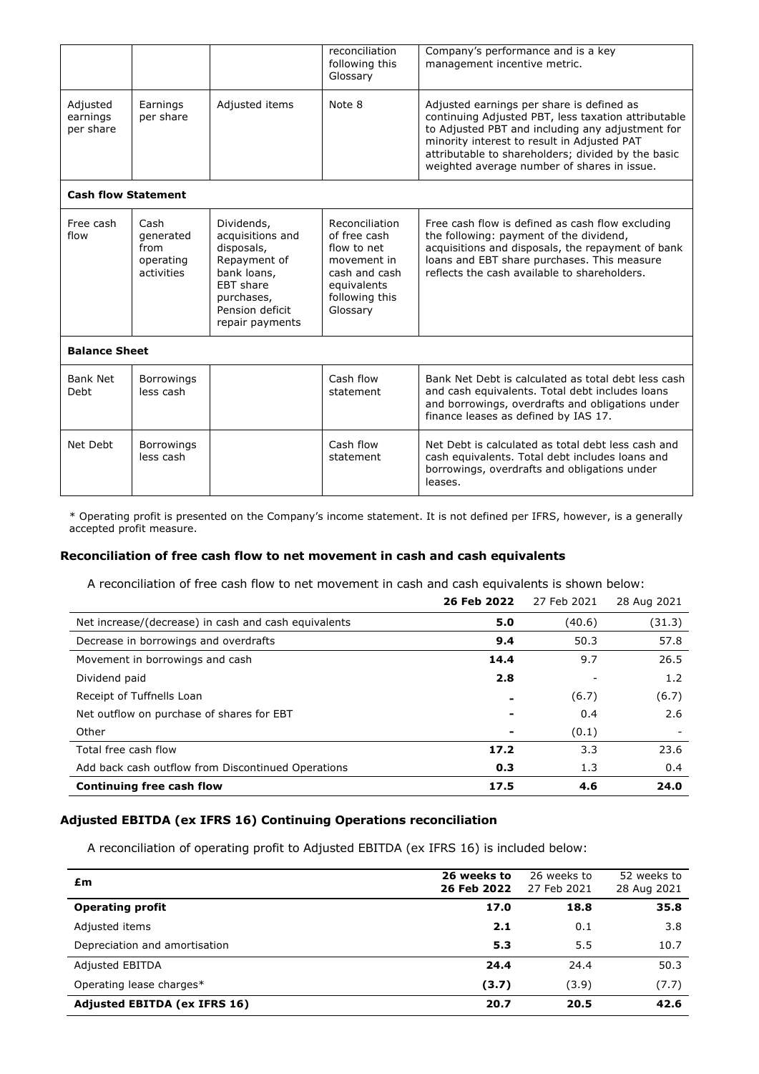|                                   |                                                      |                                                                                                                                                     | reconciliation<br>following this<br>Glossary                                                                               | Company's performance and is a key<br>management incentive metric.                                                                                                                                                                                                                                       |
|-----------------------------------|------------------------------------------------------|-----------------------------------------------------------------------------------------------------------------------------------------------------|----------------------------------------------------------------------------------------------------------------------------|----------------------------------------------------------------------------------------------------------------------------------------------------------------------------------------------------------------------------------------------------------------------------------------------------------|
| Adjusted<br>earnings<br>per share | Earnings<br>per share                                | Adjusted items                                                                                                                                      | Note 8                                                                                                                     | Adjusted earnings per share is defined as<br>continuing Adjusted PBT, less taxation attributable<br>to Adjusted PBT and including any adjustment for<br>minority interest to result in Adjusted PAT<br>attributable to shareholders; divided by the basic<br>weighted average number of shares in issue. |
| <b>Cash flow Statement</b>        |                                                      |                                                                                                                                                     |                                                                                                                            |                                                                                                                                                                                                                                                                                                          |
| Free cash<br>flow                 | Cash<br>generated<br>from<br>operating<br>activities | Dividends,<br>acquisitions and<br>disposals,<br>Repayment of<br>bank loans,<br><b>EBT</b> share<br>purchases,<br>Pension deficit<br>repair payments | Reconciliation<br>of free cash<br>flow to net<br>movement in<br>cash and cash<br>equivalents<br>following this<br>Glossary | Free cash flow is defined as cash flow excluding<br>the following: payment of the dividend,<br>acquisitions and disposals, the repayment of bank<br>loans and EBT share purchases. This measure<br>reflects the cash available to shareholders.                                                          |
| <b>Balance Sheet</b>              |                                                      |                                                                                                                                                     |                                                                                                                            |                                                                                                                                                                                                                                                                                                          |
| <b>Bank Net</b><br>Debt           | <b>Borrowings</b><br>less cash                       |                                                                                                                                                     | Cash flow<br>statement                                                                                                     | Bank Net Debt is calculated as total debt less cash<br>and cash equivalents. Total debt includes loans<br>and borrowings, overdrafts and obligations under<br>finance leases as defined by IAS 17.                                                                                                       |
| Net Debt                          | <b>Borrowings</b><br>less cash                       |                                                                                                                                                     | Cash flow<br>statement                                                                                                     | Net Debt is calculated as total debt less cash and<br>cash equivalents. Total debt includes loans and<br>borrowings, overdrafts and obligations under<br>leases.                                                                                                                                         |

\* Operating profit is presented on the Company's income statement. It is not defined per IFRS, however, is a generally accepted profit measure.

# **Reconciliation of free cash flow to net movement in cash and cash equivalents**

A reconciliation of free cash flow to net movement in cash and cash equivalents is shown below:

|                                                      | 26 Feb 2022              | 27 Feb 2021 | 28 Aug 2021 |
|------------------------------------------------------|--------------------------|-------------|-------------|
| Net increase/(decrease) in cash and cash equivalents | 5.0                      | (40.6)      | (31.3)      |
| Decrease in borrowings and overdrafts                | 9.4                      | 50.3        | 57.8        |
| Movement in borrowings and cash                      | 14.4                     | 9.7         | 26.5        |
| Dividend paid                                        | 2.8                      |             | 1.2         |
| Receipt of Tuffnells Loan                            | $\overline{\phantom{0}}$ | (6.7)       | (6.7)       |
| Net outflow on purchase of shares for EBT            | ۰                        | 0.4         | 2.6         |
| Other                                                |                          | (0.1)       |             |
| Total free cash flow                                 | 17.2                     | 3.3         | 23.6        |
| Add back cash outflow from Discontinued Operations   | 0.3                      | 1.3         | 0.4         |
| Continuing free cash flow                            | 17.5                     | 4.6         | 24.0        |

# **Adjusted EBITDA (ex IFRS 16) Continuing Operations reconciliation**

A reconciliation of operating profit to Adjusted EBITDA (ex IFRS 16) is included below:

| £m                                  | 26 weeks to<br>26 Feb 2022 | 26 weeks to<br>27 Feb 2021 | 52 weeks to<br>28 Aug 2021 |
|-------------------------------------|----------------------------|----------------------------|----------------------------|
| <b>Operating profit</b>             | 17.0                       | 18.8                       | 35.8                       |
| Adjusted items                      | 2.1                        | 0.1                        | 3.8                        |
| Depreciation and amortisation       | 5.3                        | 5.5                        | 10.7                       |
| <b>Adjusted EBITDA</b>              | 24.4                       | 24.4                       | 50.3                       |
| Operating lease charges*            | (3.7)                      | (3.9)                      | (7.7)                      |
| <b>Adjusted EBITDA (ex IFRS 16)</b> | 20.7                       | 20.5                       | 42.6                       |